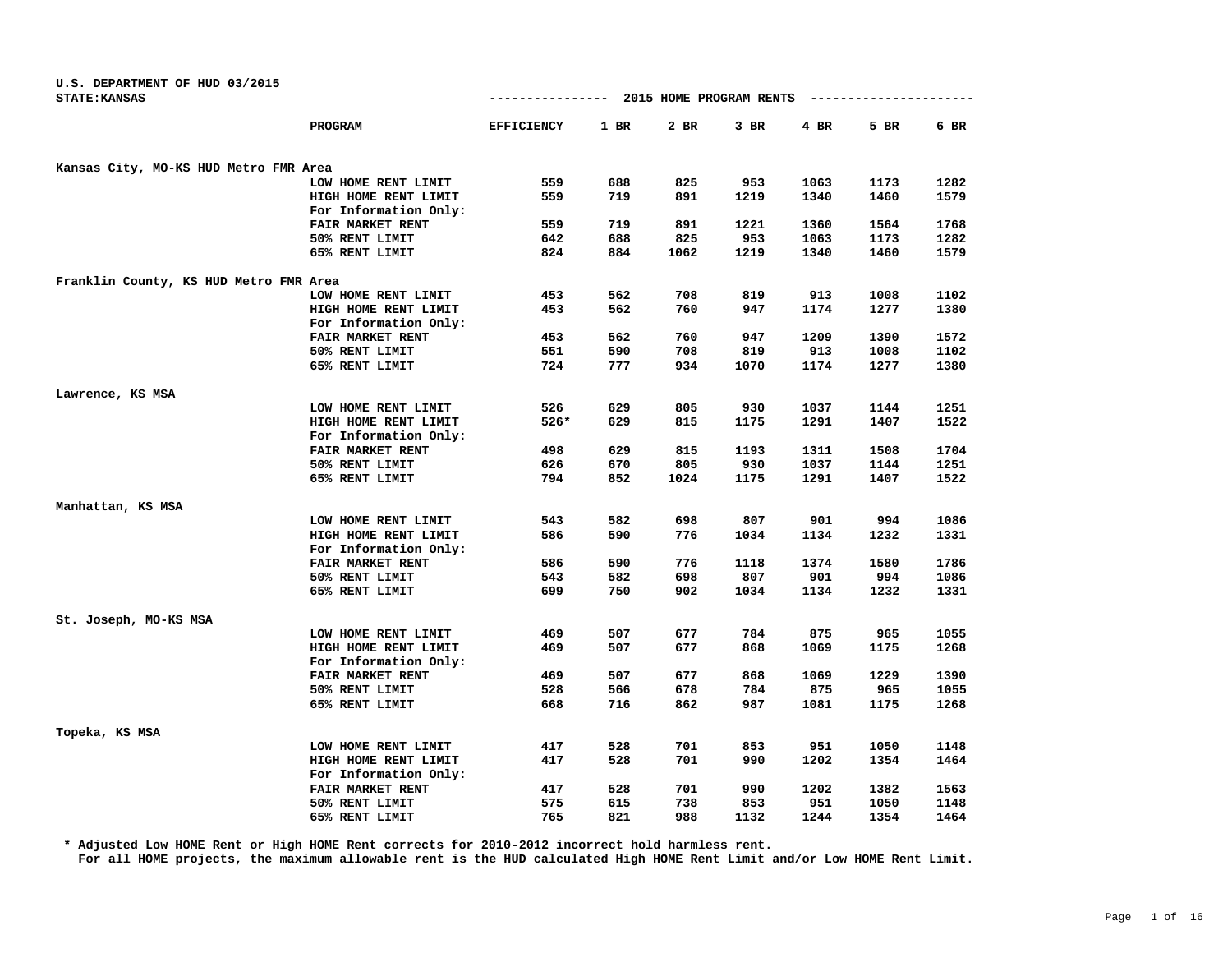| U.S. DEPARTMENT OF HUD 03/2015<br><b>STATE: KANSAS</b> |                         | ----------------  |        | 2015 HOME PROGRAM RENTS |        |        | ------------- |      |
|--------------------------------------------------------|-------------------------|-------------------|--------|-------------------------|--------|--------|---------------|------|
|                                                        | PROGRAM                 | <b>EFFICIENCY</b> | $1$ BR | 2 BR                    | $3$ BR | $4$ BR | 5 BR          | 6 BR |
| Kansas City, MO-KS HUD Metro FMR Area                  |                         |                   |        |                         |        |        |               |      |
|                                                        | LOW HOME RENT LIMIT     | 559               | 688    | 825                     | 953    | 1063   | 1173          | 1282 |
|                                                        | HIGH HOME RENT LIMIT    | 559               | 719    | 891                     | 1219   | 1340   | 1460          | 1579 |
|                                                        | For Information Only:   |                   |        |                         |        |        |               |      |
|                                                        | FAIR MARKET RENT        | 559               | 719    | 891                     | 1221   | 1360   | 1564          | 1768 |
|                                                        | 50% RENT LIMIT          | 642               | 688    | 825                     | 953    | 1063   | 1173          | 1282 |
|                                                        | 65% RENT LIMIT          | 824               | 884    | 1062                    | 1219   | 1340   | 1460          | 1579 |
| Franklin County, KS HUD Metro FMR Area                 |                         |                   |        |                         |        |        |               |      |
|                                                        | LOW HOME RENT LIMIT     | 453               | 562    | 708                     | 819    | 913    | 1008          | 1102 |
|                                                        | HIGH HOME RENT LIMIT    | 453               | 562    | 760                     | 947    | 1174   | 1277          | 1380 |
|                                                        | For Information Only:   |                   |        |                         |        |        |               |      |
|                                                        | FAIR MARKET RENT        | 453               | 562    | 760                     | 947    | 1209   | 1390          | 1572 |
|                                                        | 50% RENT LIMIT          | 551               | 590    | 708                     | 819    | 913    | 1008          | 1102 |
|                                                        | 65% RENT LIMIT          | 724               | 777    | 934                     | 1070   | 1174   | 1277          | 1380 |
| Lawrence, KS MSA                                       |                         |                   |        |                         |        |        |               |      |
|                                                        | LOW HOME RENT LIMIT     | 526               | 629    | 805                     | 930    | 1037   | 1144          | 1251 |
|                                                        | HIGH HOME RENT LIMIT    | $526*$            | 629    | 815                     | 1175   | 1291   | 1407          | 1522 |
|                                                        | For Information Only:   |                   |        |                         |        |        |               |      |
|                                                        | <b>FAIR MARKET RENT</b> | 498               | 629    | 815                     | 1193   | 1311   | 1508          | 1704 |
|                                                        | 50% RENT LIMIT          | 626               | 670    | 805                     | 930    | 1037   | 1144          | 1251 |
|                                                        | 65% RENT LIMIT          | 794               | 852    | 1024                    | 1175   | 1291   | 1407          | 1522 |
| Manhattan, KS MSA                                      |                         |                   |        |                         |        |        |               |      |
|                                                        | LOW HOME RENT LIMIT     | 543               | 582    | 698                     | 807    | 901    | 994           | 1086 |
|                                                        | HIGH HOME RENT LIMIT    | 586               | 590    | 776                     | 1034   | 1134   | 1232          | 1331 |
|                                                        | For Information Only:   |                   |        |                         |        |        |               |      |
|                                                        | FAIR MARKET RENT        | 586               | 590    | 776                     | 1118   | 1374   | 1580          | 1786 |
|                                                        | 50% RENT LIMIT          | 543               | 582    | 698                     | 807    | 901    | 994           | 1086 |
|                                                        | 65% RENT LIMIT          | 699               | 750    | 902                     | 1034   | 1134   | 1232          | 1331 |
| St. Joseph, MO-KS MSA                                  |                         |                   |        |                         |        |        |               |      |
|                                                        | LOW HOME RENT LIMIT     | 469               | 507    | 677                     | 784    | 875    | 965           | 1055 |
|                                                        | HIGH HOME RENT LIMIT    | 469               | 507    | 677                     | 868    | 1069   | 1175          | 1268 |
|                                                        | For Information Only:   |                   |        |                         |        |        |               |      |
|                                                        | FAIR MARKET RENT        | 469               | 507    | 677                     | 868    | 1069   | 1229          | 1390 |
|                                                        | 50% RENT LIMIT          | 528               | 566    | 678                     | 784    | 875    | 965           | 1055 |
|                                                        | 65% RENT LIMIT          | 668               | 716    | 862                     | 987    | 1081   | 1175          | 1268 |
| Topeka, KS MSA                                         |                         |                   |        |                         |        |        |               |      |
|                                                        | LOW HOME RENT LIMIT     | 417               | 528    | 701                     | 853    | 951    | 1050          | 1148 |
|                                                        | HIGH HOME RENT LIMIT    | 417               | 528    | 701                     | 990    | 1202   | 1354          | 1464 |
|                                                        | For Information Only:   |                   |        |                         |        |        |               |      |
|                                                        | FAIR MARKET RENT        | 417               | 528    | 701                     | 990    | 1202   | 1382          | 1563 |
|                                                        | 50% RENT LIMIT          | 575               | 615    | 738                     | 853    | 951    | 1050          | 1148 |
|                                                        | 65% RENT LIMIT          | 765               | 821    | 988                     | 1132   | 1244   | 1354          | 1464 |

**\* Adjusted Low HOME Rent or High HOME Rent corrects for 2010-2012 incorrect hold harmless rent.**

**For all HOME projects, the maximum allowable rent is the HUD calculated High HOME Rent Limit and/or Low HOME Rent Limit.**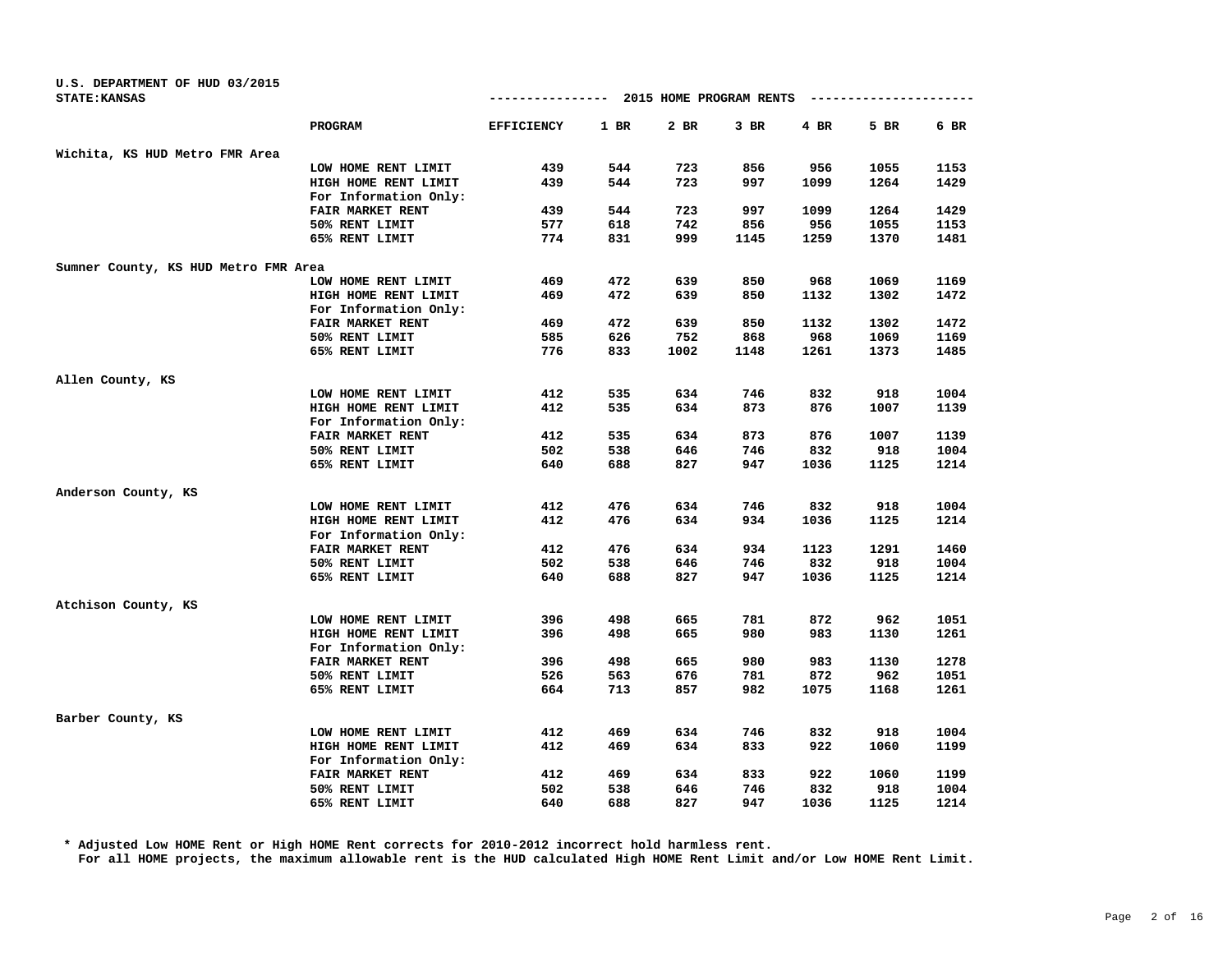| U.S. DEPARTMENT OF HUD 03/2015<br><b>STATE: KANSAS</b> |                       | ----------------  |      | 2015 HOME PROGRAM RENTS |        | ---------- |      |      |
|--------------------------------------------------------|-----------------------|-------------------|------|-------------------------|--------|------------|------|------|
|                                                        |                       |                   |      |                         |        |            |      |      |
|                                                        | PROGRAM               | <b>EFFICIENCY</b> | 1 BR | 2 BR                    | $3$ BR | 4 BR       | 5 BR | 6 BR |
| Wichita, KS HUD Metro FMR Area                         |                       |                   |      |                         |        |            |      |      |
|                                                        | LOW HOME RENT LIMIT   | 439               | 544  | 723                     | 856    | 956        | 1055 | 1153 |
|                                                        | HIGH HOME RENT LIMIT  | 439               | 544  | 723                     | 997    | 1099       | 1264 | 1429 |
|                                                        | For Information Only: |                   |      |                         |        |            |      |      |
|                                                        | FAIR MARKET RENT      | 439               | 544  | 723                     | 997    | 1099       | 1264 | 1429 |
|                                                        | 50% RENT LIMIT        | 577               | 618  | 742                     | 856    | 956        | 1055 | 1153 |
|                                                        | 65% RENT LIMIT        | 774               | 831  | 999                     | 1145   | 1259       | 1370 | 1481 |
| Sumner County, KS HUD Metro FMR Area                   |                       |                   |      |                         |        |            |      |      |
|                                                        | LOW HOME RENT LIMIT   | 469               | 472  | 639                     | 850    | 968        | 1069 | 1169 |
|                                                        | HIGH HOME RENT LIMIT  | 469               | 472  | 639                     | 850    | 1132       | 1302 | 1472 |
|                                                        | For Information Only: |                   |      |                         |        |            |      |      |
|                                                        | FAIR MARKET RENT      | 469               | 472  | 639                     | 850    | 1132       | 1302 | 1472 |
|                                                        | 50% RENT LIMIT        | 585               | 626  | 752                     | 868    | 968        | 1069 | 1169 |
|                                                        | 65% RENT LIMIT        | 776               | 833  | 1002                    | 1148   | 1261       | 1373 | 1485 |
| Allen County, KS                                       |                       |                   |      |                         |        |            |      |      |
|                                                        | LOW HOME RENT LIMIT   | 412               | 535  | 634                     | 746    | 832        | 918  | 1004 |
|                                                        | HIGH HOME RENT LIMIT  | 412               | 535  | 634                     | 873    | 876        | 1007 | 1139 |
|                                                        | For Information Only: |                   |      |                         |        |            |      |      |
|                                                        | FAIR MARKET RENT      | 412               | 535  | 634                     | 873    | 876        | 1007 | 1139 |
|                                                        | 50% RENT LIMIT        | 502               | 538  | 646                     | 746    | 832        | 918  | 1004 |
|                                                        | 65% RENT LIMIT        | 640               | 688  | 827                     | 947    | 1036       | 1125 | 1214 |
| Anderson County, KS                                    |                       |                   |      |                         |        |            |      |      |
|                                                        | LOW HOME RENT LIMIT   | 412               | 476  | 634                     | 746    | 832        | 918  | 1004 |
|                                                        | HIGH HOME RENT LIMIT  | 412               | 476  | 634                     | 934    | 1036       | 1125 | 1214 |
|                                                        | For Information Only: |                   |      |                         |        |            |      |      |
|                                                        | FAIR MARKET RENT      | 412               | 476  | 634                     | 934    | 1123       | 1291 | 1460 |
|                                                        | 50% RENT LIMIT        | 502               | 538  | 646                     | 746    | 832        | 918  | 1004 |
|                                                        | 65% RENT LIMIT        | 640               | 688  | 827                     | 947    | 1036       | 1125 | 1214 |
| Atchison County, KS                                    |                       |                   |      |                         |        |            |      |      |
|                                                        | LOW HOME RENT LIMIT   | 396               | 498  | 665                     | 781    | 872        | 962  | 1051 |
|                                                        | HIGH HOME RENT LIMIT  | 396               | 498  | 665                     | 980    | 983        | 1130 | 1261 |
|                                                        | For Information Only: |                   |      |                         |        |            |      |      |
|                                                        | FAIR MARKET RENT      | 396               | 498  | 665                     | 980    | 983        | 1130 | 1278 |
|                                                        | 50% RENT LIMIT        | 526               | 563  | 676                     | 781    | 872        | 962  | 1051 |
|                                                        | 65% RENT LIMIT        | 664               | 713  | 857                     | 982    | 1075       | 1168 | 1261 |
| Barber County, KS                                      |                       |                   |      |                         |        |            |      |      |
|                                                        | LOW HOME RENT LIMIT   | 412               | 469  | 634                     | 746    | 832        | 918  | 1004 |
|                                                        | HIGH HOME RENT LIMIT  | 412               | 469  | 634                     | 833    | 922        | 1060 | 1199 |
|                                                        | For Information Only: |                   |      |                         |        |            |      |      |
|                                                        | FAIR MARKET RENT      | 412               | 469  | 634                     | 833    | 922        | 1060 | 1199 |
|                                                        | 50% RENT LIMIT        | 502               | 538  | 646                     | 746    | 832        | 918  | 1004 |
|                                                        | 65% RENT LIMIT        | 640               | 688  | 827                     | 947    | 1036       | 1125 | 1214 |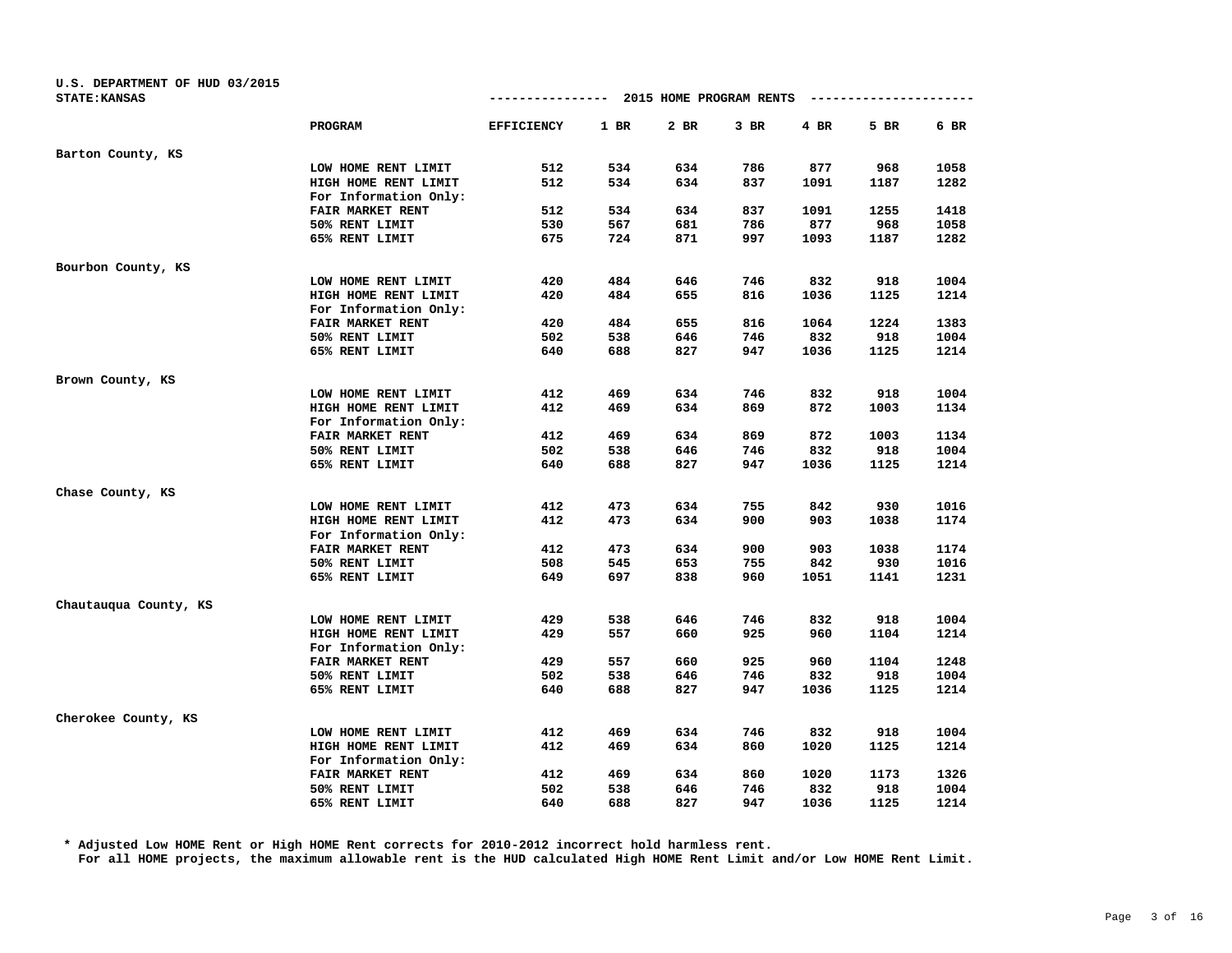| U.S. DEPARTMENT OF HUD 03/2015 |                       |                   |        |                         |        |      |                      |        |
|--------------------------------|-----------------------|-------------------|--------|-------------------------|--------|------|----------------------|--------|
| <b>STATE: KANSAS</b>           |                       | --------------    |        | 2015 HOME PROGRAM RENTS |        |      | -------------------- |        |
|                                | PROGRAM               | <b>EFFICIENCY</b> | $1$ BR | 2 BR                    | $3$ BR | 4 BR | 5 BR                 | $6$ BR |
| Barton County, KS              |                       |                   |        |                         |        |      |                      |        |
|                                | LOW HOME RENT LIMIT   | 512               | 534    | 634                     | 786    | 877  | 968                  | 1058   |
|                                | HIGH HOME RENT LIMIT  | 512               | 534    | 634                     | 837    | 1091 | 1187                 | 1282   |
|                                | For Information Only: |                   |        |                         |        |      |                      |        |
|                                | FAIR MARKET RENT      | 512               | 534    | 634                     | 837    | 1091 | 1255                 | 1418   |
|                                | 50% RENT LIMIT        | 530               | 567    | 681                     | 786    | 877  | 968                  | 1058   |
|                                | 65% RENT LIMIT        | 675               | 724    | 871                     | 997    | 1093 | 1187                 | 1282   |
| Bourbon County, KS             |                       |                   |        |                         |        |      |                      |        |
|                                | LOW HOME RENT LIMIT   | 420               | 484    | 646                     | 746    | 832  | 918                  | 1004   |
|                                | HIGH HOME RENT LIMIT  | 420               | 484    | 655                     | 816    | 1036 | 1125                 | 1214   |
|                                | For Information Only: |                   |        |                         |        |      |                      |        |
|                                | FAIR MARKET RENT      | 420               | 484    | 655                     | 816    | 1064 | 1224                 | 1383   |
|                                | 50% RENT LIMIT        | 502               | 538    | 646                     | 746    | 832  | 918                  | 1004   |
|                                | 65% RENT LIMIT        | 640               | 688    | 827                     | 947    | 1036 | 1125                 | 1214   |
| Brown County, KS               |                       |                   |        |                         |        |      |                      |        |
|                                | LOW HOME RENT LIMIT   | 412               | 469    | 634                     | 746    | 832  | 918                  | 1004   |
|                                | HIGH HOME RENT LIMIT  | 412               | 469    | 634                     | 869    | 872  | 1003                 | 1134   |
|                                | For Information Only: |                   |        |                         |        |      |                      |        |
|                                | FAIR MARKET RENT      | 412               | 469    | 634                     | 869    | 872  | 1003                 | 1134   |
|                                | 50% RENT LIMIT        | 502               | 538    | 646                     | 746    | 832  | 918                  | 1004   |
|                                | 65% RENT LIMIT        | 640               | 688    | 827                     | 947    | 1036 | 1125                 | 1214   |
| Chase County, KS               |                       |                   |        |                         |        |      |                      |        |
|                                | LOW HOME RENT LIMIT   | 412               | 473    | 634                     | 755    | 842  | 930                  | 1016   |
|                                | HIGH HOME RENT LIMIT  | 412               | 473    | 634                     | 900    | 903  | 1038                 | 1174   |
|                                | For Information Only: |                   |        |                         |        |      |                      |        |
|                                | FAIR MARKET RENT      | 412               | 473    | 634                     | 900    | 903  | 1038                 | 1174   |
|                                | 50% RENT LIMIT        | 508               | 545    | 653                     | 755    | 842  | 930                  | 1016   |
|                                | 65% RENT LIMIT        | 649               | 697    | 838                     | 960    | 1051 | 1141                 | 1231   |
| Chautauqua County, KS          |                       |                   |        |                         |        |      |                      |        |
|                                | LOW HOME RENT LIMIT   | 429               | 538    | 646                     | 746    | 832  | 918                  | 1004   |
|                                | HIGH HOME RENT LIMIT  | 429               | 557    | 660                     | 925    | 960  | 1104                 | 1214   |
|                                | For Information Only: |                   |        |                         |        |      |                      |        |
|                                | FAIR MARKET RENT      | 429               | 557    | 660                     | 925    | 960  | 1104                 | 1248   |
|                                | 50% RENT LIMIT        | 502               | 538    | 646                     | 746    | 832  | 918                  | 1004   |
|                                | 65% RENT LIMIT        | 640               | 688    | 827                     | 947    | 1036 | 1125                 | 1214   |
| Cherokee County, KS            |                       |                   |        |                         |        |      |                      |        |
|                                | LOW HOME RENT LIMIT   | 412               | 469    | 634                     | 746    | 832  | 918                  | 1004   |
|                                | HIGH HOME RENT LIMIT  | 412               | 469    | 634                     | 860    | 1020 | 1125                 | 1214   |
|                                | For Information Only: |                   |        |                         |        |      |                      |        |
|                                | FAIR MARKET RENT      | 412               | 469    | 634                     | 860    | 1020 | 1173                 | 1326   |
|                                | 50% RENT LIMIT        | 502               | 538    | 646                     | 746    | 832  | 918                  | 1004   |
|                                | 65% RENT LIMIT        | 640               | 688    | 827                     | 947    | 1036 | 1125                 | 1214   |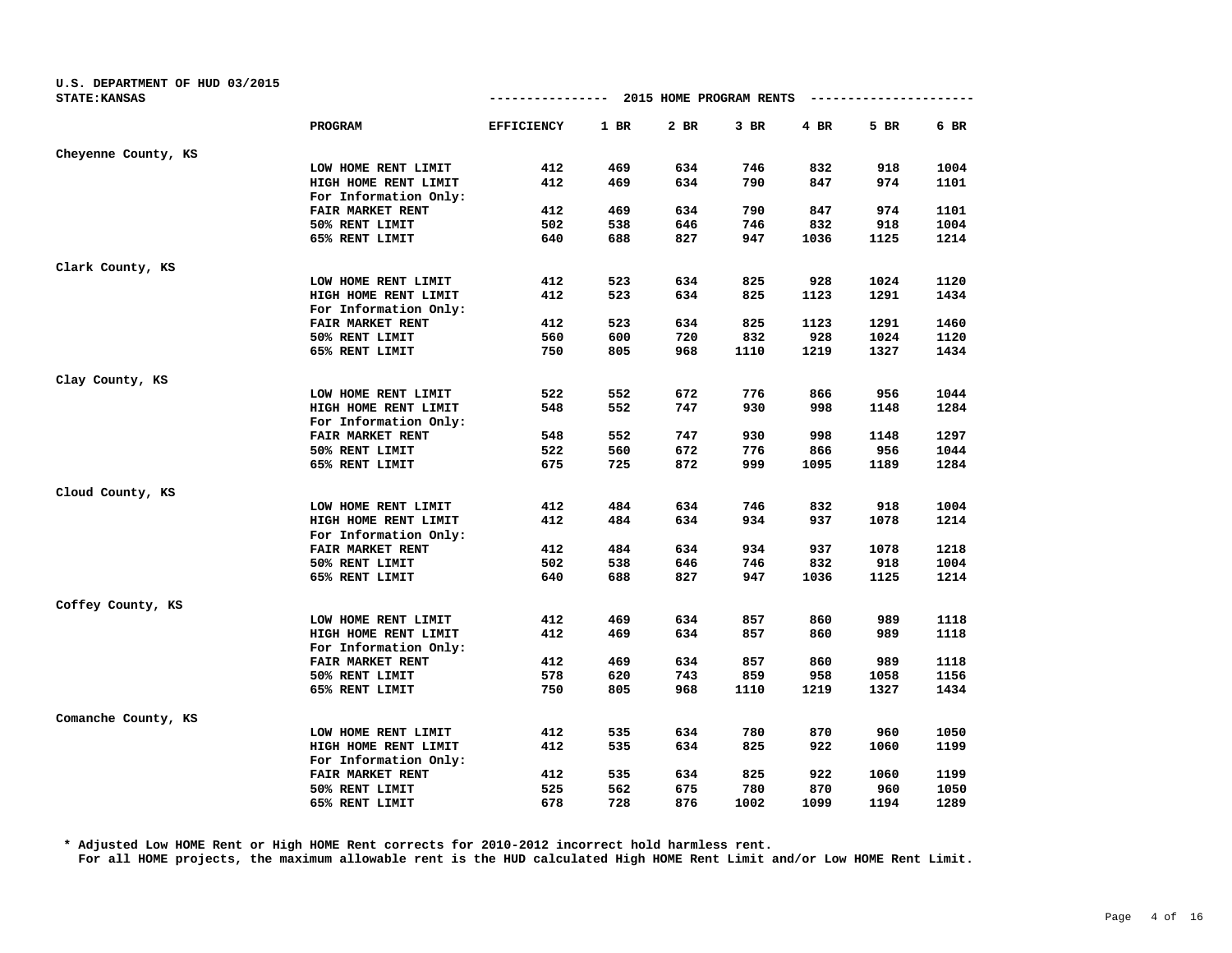| U.S. DEPARTMENT OF HUD 03/2015 |                       |                   |      |                         |        |      |                      |      |
|--------------------------------|-----------------------|-------------------|------|-------------------------|--------|------|----------------------|------|
| <b>STATE: KANSAS</b>           |                       |                   |      | 2015 HOME PROGRAM RENTS |        |      | -------------------- |      |
|                                | PROGRAM               | <b>EFFICIENCY</b> | 1 BR | 2 BR                    | $3$ BR | 4 BR | 5 BR                 | 6 BR |
| Cheyenne County, KS            |                       |                   |      |                         |        |      |                      |      |
|                                | LOW HOME RENT LIMIT   | 412               | 469  | 634                     | 746    | 832  | 918                  | 1004 |
|                                | HIGH HOME RENT LIMIT  | 412               | 469  | 634                     | 790    | 847  | 974                  | 1101 |
|                                | For Information Only: |                   |      |                         |        |      |                      |      |
|                                | FAIR MARKET RENT      | 412               | 469  | 634                     | 790    | 847  | 974                  | 1101 |
|                                | 50% RENT LIMIT        | 502               | 538  | 646                     | 746    | 832  | 918                  | 1004 |
|                                | 65% RENT LIMIT        | 640               | 688  | 827                     | 947    | 1036 | 1125                 | 1214 |
| Clark County, KS               |                       |                   |      |                         |        |      |                      |      |
|                                | LOW HOME RENT LIMIT   | 412               | 523  | 634                     | 825    | 928  | 1024                 | 1120 |
|                                | HIGH HOME RENT LIMIT  | 412               | 523  | 634                     | 825    | 1123 | 1291                 | 1434 |
|                                | For Information Only: |                   |      |                         |        |      |                      |      |
|                                | FAIR MARKET RENT      | 412               | 523  | 634                     | 825    | 1123 | 1291                 | 1460 |
|                                | 50% RENT LIMIT        | 560               | 600  | 720                     | 832    | 928  | 1024                 | 1120 |
|                                | 65% RENT LIMIT        | 750               | 805  | 968                     | 1110   | 1219 | 1327                 | 1434 |
| Clay County, KS                |                       |                   |      |                         |        |      |                      |      |
|                                | LOW HOME RENT LIMIT   | 522               | 552  | 672                     | 776    | 866  | 956                  | 1044 |
|                                | HIGH HOME RENT LIMIT  | 548               | 552  | 747                     | 930    | 998  | 1148                 | 1284 |
|                                | For Information Only: |                   |      |                         |        |      |                      |      |
|                                | FAIR MARKET RENT      | 548               | 552  | 747                     | 930    | 998  | 1148                 | 1297 |
|                                | 50% RENT LIMIT        | 522               | 560  | 672                     | 776    | 866  | 956                  | 1044 |
|                                | 65% RENT LIMIT        | 675               | 725  | 872                     | 999    | 1095 | 1189                 | 1284 |
| Cloud County, KS               |                       |                   |      |                         |        |      |                      |      |
|                                | LOW HOME RENT LIMIT   | 412               | 484  | 634                     | 746    | 832  | 918                  | 1004 |
|                                | HIGH HOME RENT LIMIT  | 412               | 484  | 634                     | 934    | 937  | 1078                 | 1214 |
|                                | For Information Only: |                   |      |                         |        |      |                      |      |
|                                | FAIR MARKET RENT      | 412               | 484  | 634                     | 934    | 937  | 1078                 | 1218 |
|                                | 50% RENT LIMIT        | 502               | 538  | 646                     | 746    | 832  | 918                  | 1004 |
|                                | 65% RENT LIMIT        | 640               | 688  | 827                     | 947    | 1036 | 1125                 | 1214 |
| Coffey County, KS              |                       |                   |      |                         |        |      |                      |      |
|                                | LOW HOME RENT LIMIT   | 412               | 469  | 634                     | 857    | 860  | 989                  | 1118 |
|                                | HIGH HOME RENT LIMIT  | 412               | 469  | 634                     | 857    | 860  | 989                  | 1118 |
|                                | For Information Only: |                   |      |                         |        |      |                      |      |
|                                | FAIR MARKET RENT      | 412               | 469  | 634                     | 857    | 860  | 989                  | 1118 |
|                                | 50% RENT LIMIT        | 578               | 620  | 743                     | 859    | 958  | 1058                 | 1156 |
|                                | 65% RENT LIMIT        | 750               | 805  | 968                     | 1110   | 1219 | 1327                 | 1434 |
| Comanche County, KS            |                       |                   |      |                         |        |      |                      |      |
|                                | LOW HOME RENT LIMIT   | 412               | 535  | 634                     | 780    | 870  | 960                  | 1050 |
|                                | HIGH HOME RENT LIMIT  | 412               | 535  | 634                     | 825    | 922  | 1060                 | 1199 |
|                                | For Information Only: |                   |      |                         |        |      |                      |      |
|                                | FAIR MARKET RENT      | 412               | 535  | 634                     | 825    | 922  | 1060                 | 1199 |
|                                | 50% RENT LIMIT        | 525               | 562  | 675                     | 780    | 870  | 960                  | 1050 |
|                                | 65% RENT LIMIT        | 678               | 728  | 876                     | 1002   | 1099 | 1194                 | 1289 |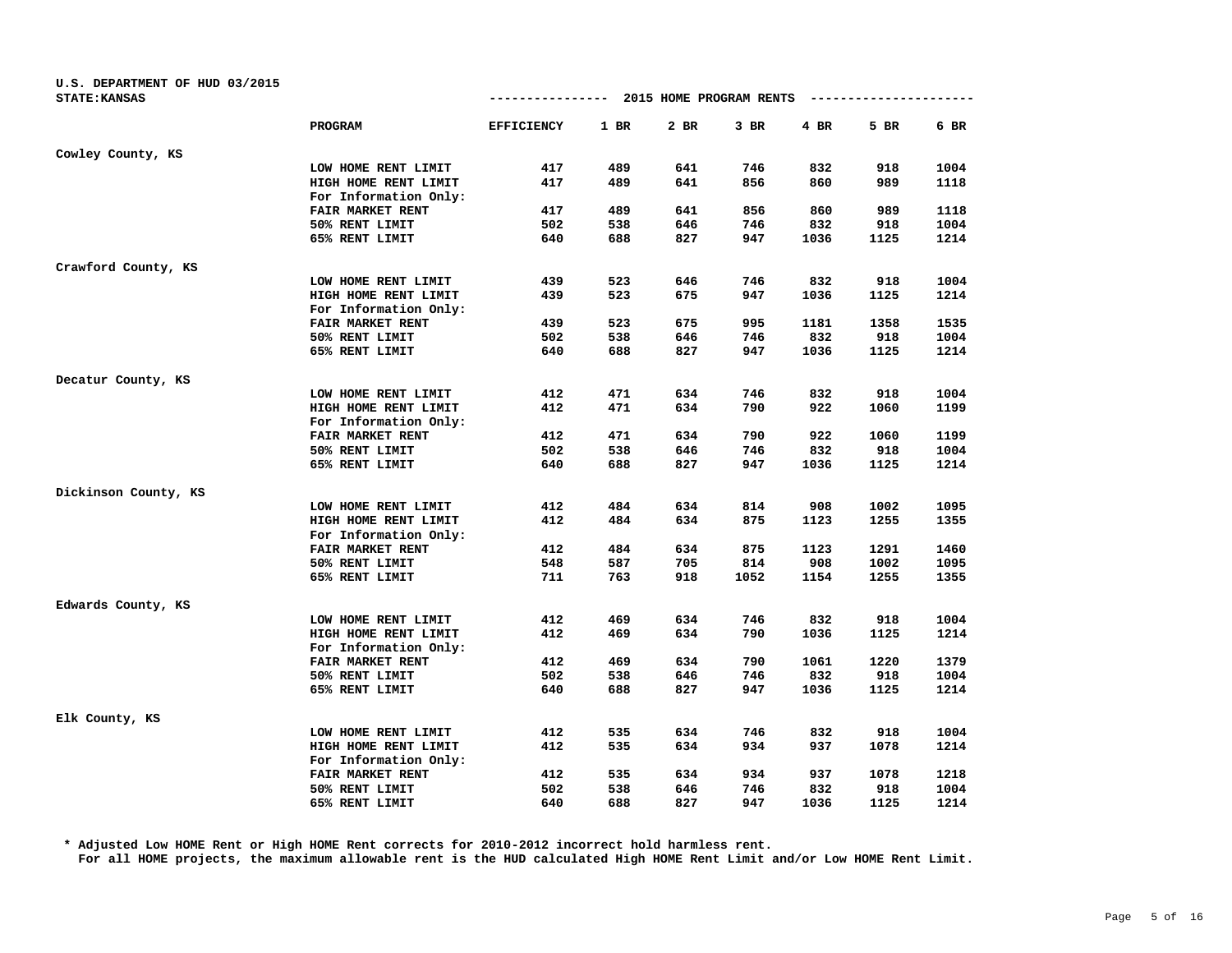| U.S. DEPARTMENT OF HUD 03/2015 |                       |                   |        |                         |        |      |                        |        |
|--------------------------------|-----------------------|-------------------|--------|-------------------------|--------|------|------------------------|--------|
| <b>STATE: KANSAS</b>           |                       | ---------------   |        | 2015 HOME PROGRAM RENTS |        |      | ---------------------- |        |
|                                | PROGRAM               | <b>EFFICIENCY</b> | $1$ BR | 2 BR                    | $3$ BR | 4 BR | 5 BR                   | $6$ BR |
| Cowley County, KS              |                       |                   |        |                         |        |      |                        |        |
|                                | LOW HOME RENT LIMIT   | 417               | 489    | 641                     | 746    | 832  | 918                    | 1004   |
|                                | HIGH HOME RENT LIMIT  | 417               | 489    | 641                     | 856    | 860  | 989                    | 1118   |
|                                | For Information Only: |                   |        |                         |        |      |                        |        |
|                                | FAIR MARKET RENT      | 417               | 489    | 641                     | 856    | 860  | 989                    | 1118   |
|                                | 50% RENT LIMIT        | 502               | 538    | 646                     | 746    | 832  | 918                    | 1004   |
|                                | 65% RENT LIMIT        | 640               | 688    | 827                     | 947    | 1036 | 1125                   | 1214   |
| Crawford County, KS            |                       |                   |        |                         |        |      |                        |        |
|                                | LOW HOME RENT LIMIT   | 439               | 523    | 646                     | 746    | 832  | 918                    | 1004   |
|                                | HIGH HOME RENT LIMIT  | 439               | 523    | 675                     | 947    | 1036 | 1125                   | 1214   |
|                                | For Information Only: |                   |        |                         |        |      |                        |        |
|                                | FAIR MARKET RENT      | 439               | 523    | 675                     | 995    | 1181 | 1358                   | 1535   |
|                                | 50% RENT LIMIT        | 502               | 538    | 646                     | 746    | 832  | 918                    | 1004   |
|                                | 65% RENT LIMIT        | 640               | 688    | 827                     | 947    | 1036 | 1125                   | 1214   |
| Decatur County, KS             |                       |                   |        |                         |        |      |                        |        |
|                                | LOW HOME RENT LIMIT   | 412               | 471    | 634                     | 746    | 832  | 918                    | 1004   |
|                                | HIGH HOME RENT LIMIT  | 412               | 471    | 634                     | 790    | 922  | 1060                   | 1199   |
|                                | For Information Only: |                   |        |                         |        |      |                        |        |
|                                | FAIR MARKET RENT      | 412               | 471    | 634                     | 790    | 922  | 1060                   | 1199   |
|                                | 50% RENT LIMIT        | 502               | 538    | 646                     | 746    | 832  | 918                    | 1004   |
|                                | 65% RENT LIMIT        | 640               | 688    | 827                     | 947    | 1036 | 1125                   | 1214   |
| Dickinson County, KS           |                       |                   |        |                         |        |      |                        |        |
|                                | LOW HOME RENT LIMIT   | 412               | 484    | 634                     | 814    | 908  | 1002                   | 1095   |
|                                | HIGH HOME RENT LIMIT  | 412               | 484    | 634                     | 875    | 1123 | 1255                   | 1355   |
|                                | For Information Only: |                   |        |                         |        |      |                        |        |
|                                | FAIR MARKET RENT      | 412               | 484    | 634                     | 875    | 1123 | 1291                   | 1460   |
|                                | 50% RENT LIMIT        | 548               | 587    | 705                     | 814    | 908  | 1002                   | 1095   |
|                                | 65% RENT LIMIT        | 711               | 763    | 918                     | 1052   | 1154 | 1255                   | 1355   |
| Edwards County, KS             |                       |                   |        |                         |        |      |                        |        |
|                                | LOW HOME RENT LIMIT   | 412               | 469    | 634                     | 746    | 832  | 918                    | 1004   |
|                                | HIGH HOME RENT LIMIT  | 412               | 469    | 634                     | 790    | 1036 | 1125                   | 1214   |
|                                | For Information Only: |                   |        |                         |        |      |                        |        |
|                                | FAIR MARKET RENT      | 412               | 469    | 634                     | 790    | 1061 | 1220                   | 1379   |
|                                | 50% RENT LIMIT        | 502               | 538    | 646                     | 746    | 832  | 918                    | 1004   |
|                                | 65% RENT LIMIT        | 640               | 688    | 827                     | 947    | 1036 | 1125                   | 1214   |
| Elk County, KS                 |                       |                   |        |                         |        |      |                        |        |
|                                | LOW HOME RENT LIMIT   | 412               | 535    | 634                     | 746    | 832  | 918                    | 1004   |
|                                | HIGH HOME RENT LIMIT  | 412               | 535    | 634                     | 934    | 937  | 1078                   | 1214   |
|                                | For Information Only: |                   |        |                         |        |      |                        |        |
|                                | FAIR MARKET RENT      | 412               | 535    | 634                     | 934    | 937  | 1078                   | 1218   |
|                                | 50% RENT LIMIT        | 502               | 538    | 646                     | 746    | 832  | 918                    | 1004   |
|                                | 65% RENT LIMIT        | 640               | 688    | 827                     | 947    | 1036 | 1125                   | 1214   |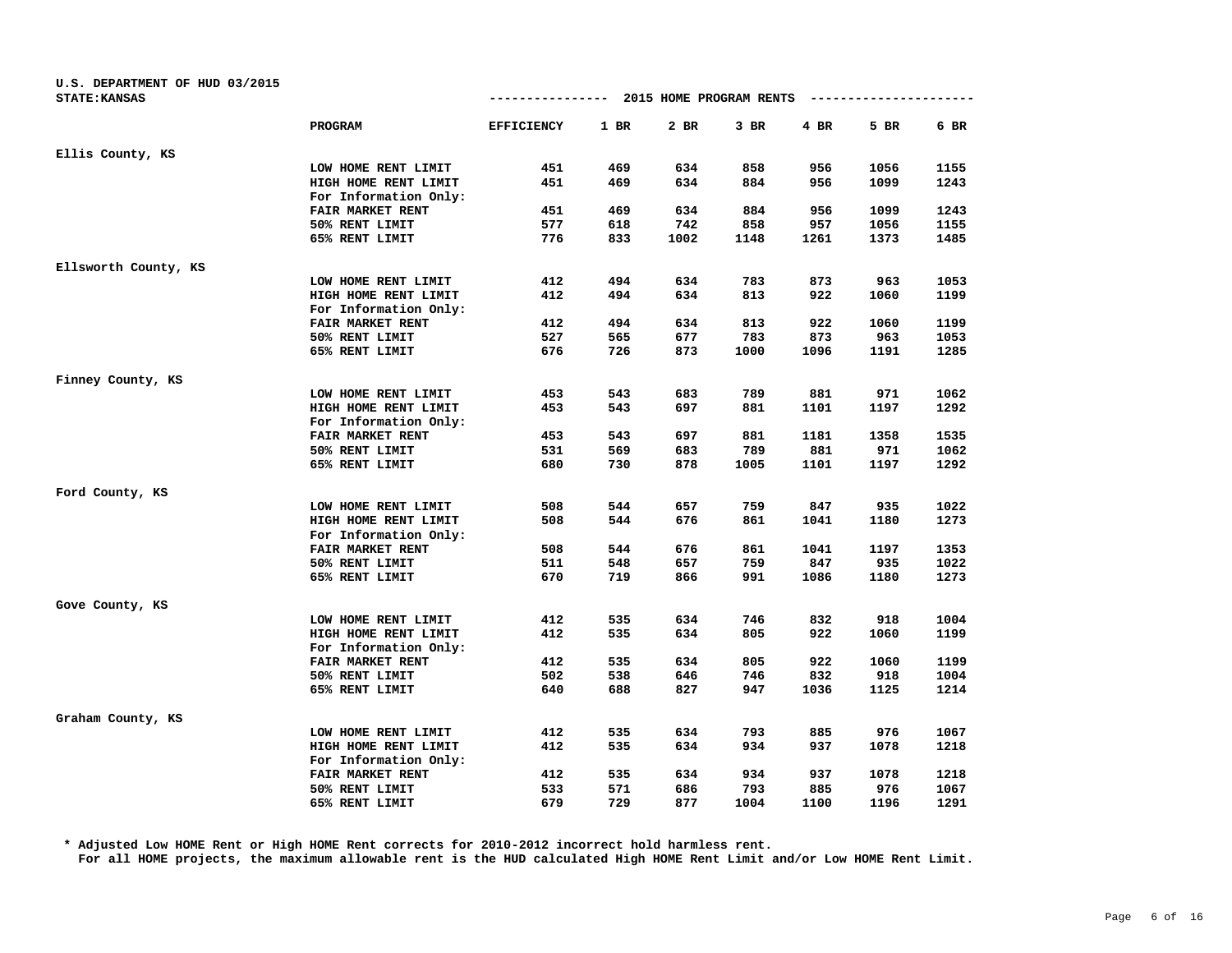| U.S. DEPARTMENT OF HUD 03/2015 |                       |                   |        |                         |        |      |      |      |
|--------------------------------|-----------------------|-------------------|--------|-------------------------|--------|------|------|------|
| <b>STATE: KANSAS</b>           |                       | -------------     |        | 2015 HOME PROGRAM RENTS |        |      |      |      |
|                                | PROGRAM               | <b>EFFICIENCY</b> | $1$ BR | 2 BR                    | $3$ BR | 4 BR | 5 BR | 6 BR |
| Ellis County, KS               |                       |                   |        |                         |        |      |      |      |
|                                | LOW HOME RENT LIMIT   | 451               | 469    | 634                     | 858    | 956  | 1056 | 1155 |
|                                | HIGH HOME RENT LIMIT  | 451               | 469    | 634                     | 884    | 956  | 1099 | 1243 |
|                                | For Information Only: |                   |        |                         |        |      |      |      |
|                                | FAIR MARKET RENT      | 451               | 469    | 634                     | 884    | 956  | 1099 | 1243 |
|                                | 50% RENT LIMIT        | 577               | 618    | 742                     | 858    | 957  | 1056 | 1155 |
|                                | 65% RENT LIMIT        | 776               | 833    | 1002                    | 1148   | 1261 | 1373 | 1485 |
| Ellsworth County, KS           |                       |                   |        |                         |        |      |      |      |
|                                | LOW HOME RENT LIMIT   | 412               | 494    | 634                     | 783    | 873  | 963  | 1053 |
|                                | HIGH HOME RENT LIMIT  | 412               | 494    | 634                     | 813    | 922  | 1060 | 1199 |
|                                | For Information Only: |                   |        |                         |        |      |      |      |
|                                | FAIR MARKET RENT      | 412               | 494    | 634                     | 813    | 922  | 1060 | 1199 |
|                                | 50% RENT LIMIT        | 527               | 565    | 677                     | 783    | 873  | 963  | 1053 |
|                                | 65% RENT LIMIT        | 676               | 726    | 873                     | 1000   | 1096 | 1191 | 1285 |
| Finney County, KS              |                       |                   |        |                         |        |      |      |      |
|                                | LOW HOME RENT LIMIT   | 453               | 543    | 683                     | 789    | 881  | 971  | 1062 |
|                                | HIGH HOME RENT LIMIT  | 453               | 543    | 697                     | 881    | 1101 | 1197 | 1292 |
|                                | For Information Only: |                   |        |                         |        |      |      |      |
|                                | FAIR MARKET RENT      | 453               | 543    | 697                     | 881    | 1181 | 1358 | 1535 |
|                                | 50% RENT LIMIT        | 531               | 569    | 683                     | 789    | 881  | 971  | 1062 |
|                                | 65% RENT LIMIT        | 680               | 730    | 878                     | 1005   | 1101 | 1197 | 1292 |
| Ford County, KS                |                       |                   |        |                         |        |      |      |      |
|                                | LOW HOME RENT LIMIT   | 508               | 544    | 657                     | 759    | 847  | 935  | 1022 |
|                                | HIGH HOME RENT LIMIT  | 508               | 544    | 676                     | 861    | 1041 | 1180 | 1273 |
|                                | For Information Only: |                   |        |                         |        |      |      |      |
|                                | FAIR MARKET RENT      | 508               | 544    | 676                     | 861    | 1041 | 1197 | 1353 |
|                                | 50% RENT LIMIT        | 511               | 548    | 657                     | 759    | 847  | 935  | 1022 |
|                                | 65% RENT LIMIT        | 670               | 719    | 866                     | 991    | 1086 | 1180 | 1273 |
| Gove County, KS                |                       |                   |        |                         |        |      |      |      |
|                                | LOW HOME RENT LIMIT   | 412               | 535    | 634                     | 746    | 832  | 918  | 1004 |
|                                | HIGH HOME RENT LIMIT  | 412               | 535    | 634                     | 805    | 922  | 1060 | 1199 |
|                                | For Information Only: |                   |        |                         |        |      |      |      |
|                                | FAIR MARKET RENT      | 412               | 535    | 634                     | 805    | 922  | 1060 | 1199 |
|                                | 50% RENT LIMIT        | 502               | 538    | 646                     | 746    | 832  | 918  | 1004 |
|                                | 65% RENT LIMIT        | 640               | 688    | 827                     | 947    | 1036 | 1125 | 1214 |
| Graham County, KS              |                       |                   |        |                         |        |      |      |      |
|                                | LOW HOME RENT LIMIT   | 412               | 535    | 634                     | 793    | 885  | 976  | 1067 |
|                                | HIGH HOME RENT LIMIT  | 412               | 535    | 634                     | 934    | 937  | 1078 | 1218 |
|                                | For Information Only: |                   |        |                         |        |      |      |      |
|                                | FAIR MARKET RENT      | 412               | 535    | 634                     | 934    | 937  | 1078 | 1218 |
|                                | 50% RENT LIMIT        | 533               | 571    | 686                     | 793    | 885  | 976  | 1067 |
|                                | 65% RENT LIMIT        | 679               | 729    | 877                     | 1004   | 1100 | 1196 | 1291 |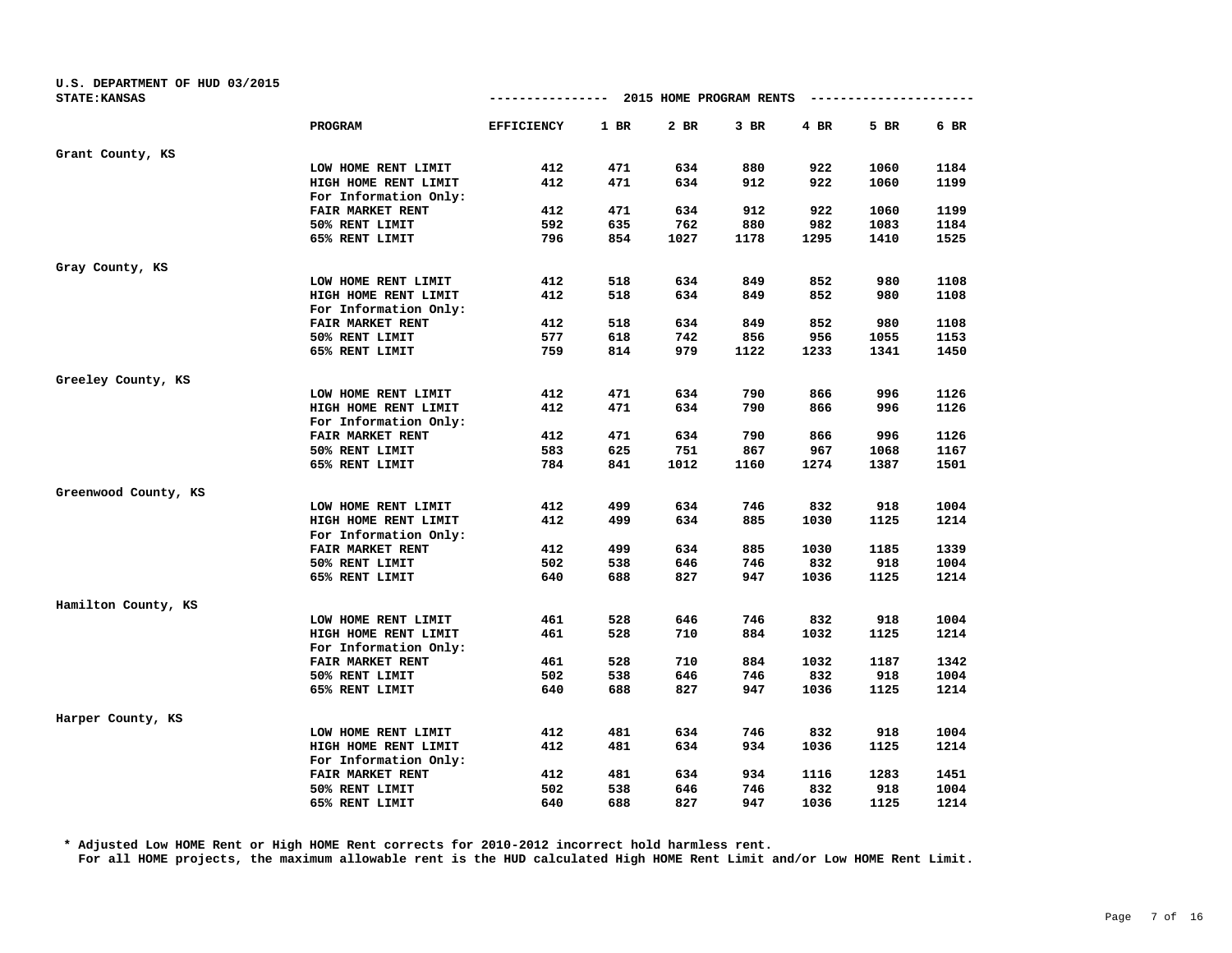| U.S. DEPARTMENT OF HUD 03/2015 |                       |                   |      |                         |        |      |                        |      |
|--------------------------------|-----------------------|-------------------|------|-------------------------|--------|------|------------------------|------|
| <b>STATE: KANSAS</b>           |                       | --------------    |      | 2015 HOME PROGRAM RENTS |        |      | ---------------------- |      |
|                                | PROGRAM               | <b>EFFICIENCY</b> | 1 BR | 2 BR                    | $3$ BR | 4 BR | 5 BR                   | 6 BR |
| Grant County, KS               |                       |                   |      |                         |        |      |                        |      |
|                                | LOW HOME RENT LIMIT   | 412               | 471  | 634                     | 880    | 922  | 1060                   | 1184 |
|                                | HIGH HOME RENT LIMIT  | 412               | 471  | 634                     | 912    | 922  | 1060                   | 1199 |
|                                | For Information Only: |                   |      |                         |        |      |                        |      |
|                                | FAIR MARKET RENT      | 412               | 471  | 634                     | 912    | 922  | 1060                   | 1199 |
|                                | 50% RENT LIMIT        | 592               | 635  | 762                     | 880    | 982  | 1083                   | 1184 |
|                                | 65% RENT LIMIT        | 796               | 854  | 1027                    | 1178   | 1295 | 1410                   | 1525 |
| Gray County, KS                |                       |                   |      |                         |        |      |                        |      |
|                                | LOW HOME RENT LIMIT   | 412               | 518  | 634                     | 849    | 852  | 980                    | 1108 |
|                                | HIGH HOME RENT LIMIT  | 412               | 518  | 634                     | 849    | 852  | 980                    | 1108 |
|                                | For Information Only: |                   |      |                         |        |      |                        |      |
|                                | FAIR MARKET RENT      | 412               | 518  | 634                     | 849    | 852  | 980                    | 1108 |
|                                | 50% RENT LIMIT        | 577               | 618  | 742                     | 856    | 956  | 1055                   | 1153 |
|                                | 65% RENT LIMIT        | 759               | 814  | 979                     | 1122   | 1233 | 1341                   | 1450 |
| Greeley County, KS             |                       |                   |      |                         |        |      |                        |      |
|                                | LOW HOME RENT LIMIT   | 412               | 471  | 634                     | 790    | 866  | 996                    | 1126 |
|                                | HIGH HOME RENT LIMIT  | 412               | 471  | 634                     | 790    | 866  | 996                    | 1126 |
|                                | For Information Only: |                   |      |                         |        |      |                        |      |
|                                | FAIR MARKET RENT      | 412               | 471  | 634                     | 790    | 866  | 996                    | 1126 |
|                                | 50% RENT LIMIT        | 583               | 625  | 751                     | 867    | 967  | 1068                   | 1167 |
|                                | 65% RENT LIMIT        | 784               | 841  | 1012                    | 1160   | 1274 | 1387                   | 1501 |
| Greenwood County, KS           |                       |                   |      |                         |        |      |                        |      |
|                                | LOW HOME RENT LIMIT   | 412               | 499  | 634                     | 746    | 832  | 918                    | 1004 |
|                                | HIGH HOME RENT LIMIT  | 412               | 499  | 634                     | 885    | 1030 | 1125                   | 1214 |
|                                | For Information Only: |                   |      |                         |        |      |                        |      |
|                                | FAIR MARKET RENT      | 412               | 499  | 634                     | 885    | 1030 | 1185                   | 1339 |
|                                | 50% RENT LIMIT        | 502               | 538  | 646                     | 746    | 832  | 918                    | 1004 |
|                                | 65% RENT LIMIT        | 640               | 688  | 827                     | 947    | 1036 | 1125                   | 1214 |
| Hamilton County, KS            |                       |                   |      |                         |        |      |                        |      |
|                                | LOW HOME RENT LIMIT   | 461               | 528  | 646                     | 746    | 832  | 918                    | 1004 |
|                                | HIGH HOME RENT LIMIT  | 461               | 528  | 710                     | 884    | 1032 | 1125                   | 1214 |
|                                | For Information Only: |                   |      |                         |        |      |                        |      |
|                                | FAIR MARKET RENT      | 461               | 528  | 710                     | 884    | 1032 | 1187                   | 1342 |
|                                | 50% RENT LIMIT        | 502               | 538  | 646                     | 746    | 832  | 918                    | 1004 |
|                                | 65% RENT LIMIT        | 640               | 688  | 827                     | 947    | 1036 | 1125                   | 1214 |
| Harper County, KS              |                       |                   |      |                         |        |      |                        |      |
|                                | LOW HOME RENT LIMIT   | 412               | 481  | 634                     | 746    | 832  | 918                    | 1004 |
|                                | HIGH HOME RENT LIMIT  | 412               | 481  | 634                     | 934    | 1036 | 1125                   | 1214 |
|                                | For Information Only: |                   |      |                         |        |      |                        |      |
|                                | FAIR MARKET RENT      | 412               | 481  | 634                     | 934    | 1116 | 1283                   | 1451 |
|                                | 50% RENT LIMIT        | 502               | 538  | 646                     | 746    | 832  | 918                    | 1004 |
|                                | 65% RENT LIMIT        | 640               | 688  | 827                     | 947    | 1036 | 1125                   | 1214 |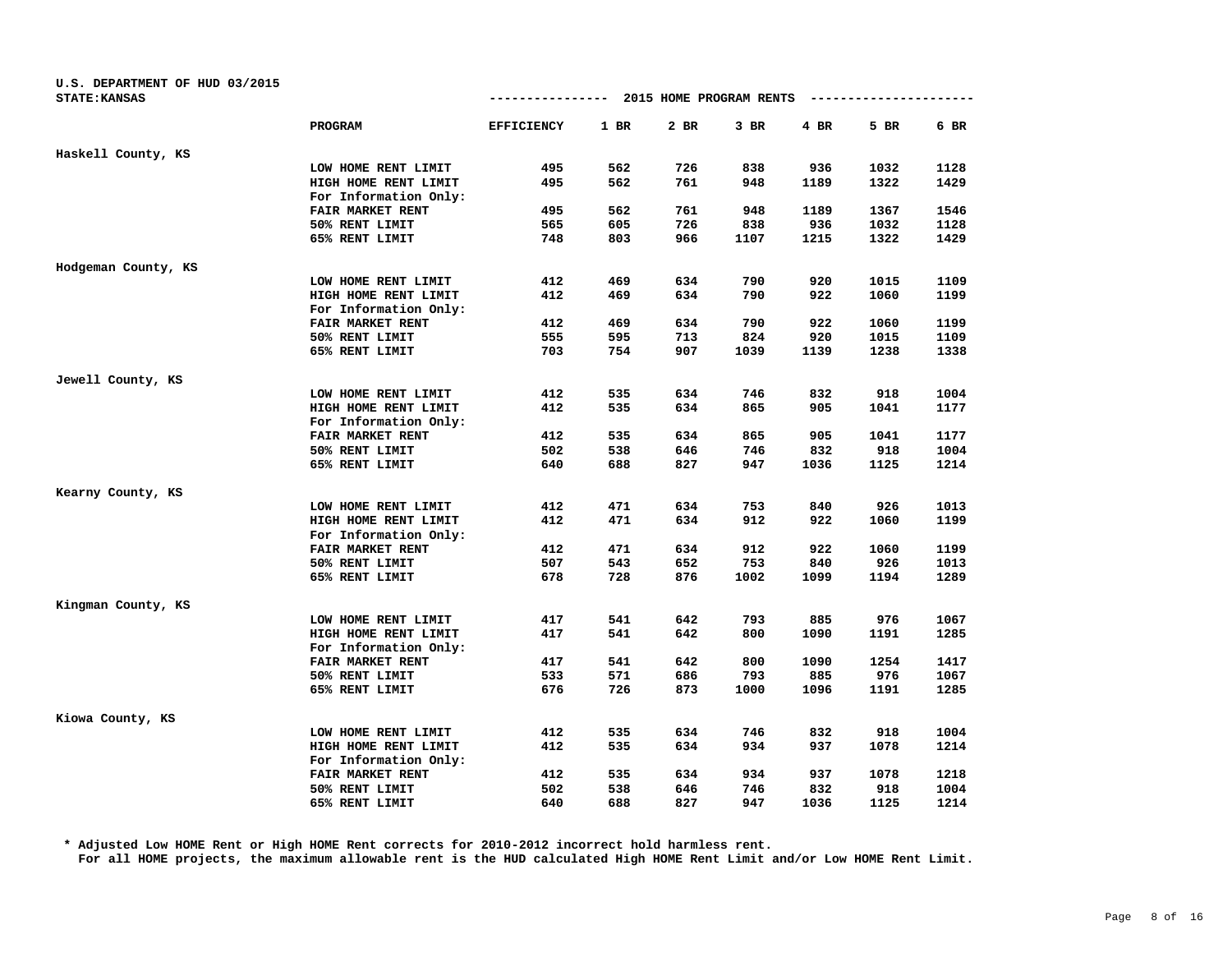| U.S. DEPARTMENT OF HUD 03/2015<br><b>STATE: KANSAS</b> |                       | --------------    |      | 2015 HOME PROGRAM RENTS |        |      | ---------------------- |        |
|--------------------------------------------------------|-----------------------|-------------------|------|-------------------------|--------|------|------------------------|--------|
|                                                        | PROGRAM               | <b>EFFICIENCY</b> | 1 BR | 2 BR                    | $3$ BR | 4 BR | 5 BR                   | $6$ BR |
| Haskell County, KS                                     |                       |                   |      |                         |        |      |                        |        |
|                                                        | LOW HOME RENT LIMIT   | 495               | 562  | 726                     | 838    | 936  | 1032                   | 1128   |
|                                                        | HIGH HOME RENT LIMIT  | 495               | 562  | 761                     | 948    | 1189 | 1322                   | 1429   |
|                                                        | For Information Only: |                   |      |                         |        |      |                        |        |
|                                                        | FAIR MARKET RENT      | 495               | 562  | 761                     | 948    | 1189 | 1367                   | 1546   |
|                                                        | 50% RENT LIMIT        | 565               | 605  | 726                     | 838    | 936  | 1032                   | 1128   |
|                                                        | 65% RENT LIMIT        | 748               | 803  | 966                     | 1107   | 1215 | 1322                   | 1429   |
| Hodgeman County, KS                                    |                       |                   |      |                         |        |      |                        |        |
|                                                        | LOW HOME RENT LIMIT   | 412               | 469  | 634                     | 790    | 920  | 1015                   | 1109   |
|                                                        | HIGH HOME RENT LIMIT  | 412               | 469  | 634                     | 790    | 922  | 1060                   | 1199   |
|                                                        | For Information Only: |                   |      |                         |        |      |                        |        |
|                                                        | FAIR MARKET RENT      | 412               | 469  | 634                     | 790    | 922  | 1060                   | 1199   |
|                                                        | 50% RENT LIMIT        | 555               | 595  | 713                     | 824    | 920  | 1015                   | 1109   |
|                                                        | 65% RENT LIMIT        | 703               | 754  | 907                     | 1039   | 1139 | 1238                   | 1338   |
| Jewell County, KS                                      |                       |                   |      |                         |        |      |                        |        |
|                                                        | LOW HOME RENT LIMIT   | 412               | 535  | 634                     | 746    | 832  | 918                    | 1004   |
|                                                        | HIGH HOME RENT LIMIT  | 412               | 535  | 634                     | 865    | 905  | 1041                   | 1177   |
|                                                        | For Information Only: |                   |      |                         |        |      |                        |        |
|                                                        | FAIR MARKET RENT      | 412               | 535  | 634                     | 865    | 905  | 1041                   | 1177   |
|                                                        | 50% RENT LIMIT        | 502               | 538  | 646                     | 746    | 832  | 918                    | 1004   |
|                                                        | 65% RENT LIMIT        | 640               | 688  | 827                     | 947    | 1036 | 1125                   | 1214   |
| Kearny County, KS                                      |                       |                   |      |                         |        |      |                        |        |
|                                                        | LOW HOME RENT LIMIT   | 412               | 471  | 634                     | 753    | 840  | 926                    | 1013   |
|                                                        | HIGH HOME RENT LIMIT  | 412               | 471  | 634                     | 912    | 922  | 1060                   | 1199   |
|                                                        | For Information Only: |                   |      |                         |        |      |                        |        |
|                                                        | FAIR MARKET RENT      | 412               | 471  | 634                     | 912    | 922  | 1060                   | 1199   |
|                                                        | 50% RENT LIMIT        | 507               | 543  | 652                     | 753    | 840  | 926                    | 1013   |
|                                                        | 65% RENT LIMIT        | 678               | 728  | 876                     | 1002   | 1099 | 1194                   | 1289   |
| Kingman County, KS                                     |                       |                   |      |                         |        |      |                        |        |
|                                                        | LOW HOME RENT LIMIT   | 417               | 541  | 642                     | 793    | 885  | 976                    | 1067   |
|                                                        | HIGH HOME RENT LIMIT  | 417               | 541  | 642                     | 800    | 1090 | 1191                   | 1285   |
|                                                        | For Information Only: |                   |      |                         |        |      |                        |        |
|                                                        | FAIR MARKET RENT      | 417               | 541  | 642                     | 800    | 1090 | 1254                   | 1417   |
|                                                        | 50% RENT LIMIT        | 533               | 571  | 686                     | 793    | 885  | 976                    | 1067   |
|                                                        | 65% RENT LIMIT        | 676               | 726  | 873                     | 1000   | 1096 | 1191                   | 1285   |
| Kiowa County, KS                                       |                       |                   |      |                         |        |      |                        |        |
|                                                        | LOW HOME RENT LIMIT   | 412               | 535  | 634                     | 746    | 832  | 918                    | 1004   |
|                                                        | HIGH HOME RENT LIMIT  | 412               | 535  | 634                     | 934    | 937  | 1078                   | 1214   |
|                                                        | For Information Only: |                   |      |                         |        |      |                        |        |
|                                                        | FAIR MARKET RENT      | 412               | 535  | 634                     | 934    | 937  | 1078                   | 1218   |
|                                                        | 50% RENT LIMIT        | 502               | 538  | 646                     | 746    | 832  | 918                    | 1004   |
|                                                        | 65% RENT LIMIT        | 640               | 688  | 827                     | 947    | 1036 | 1125                   | 1214   |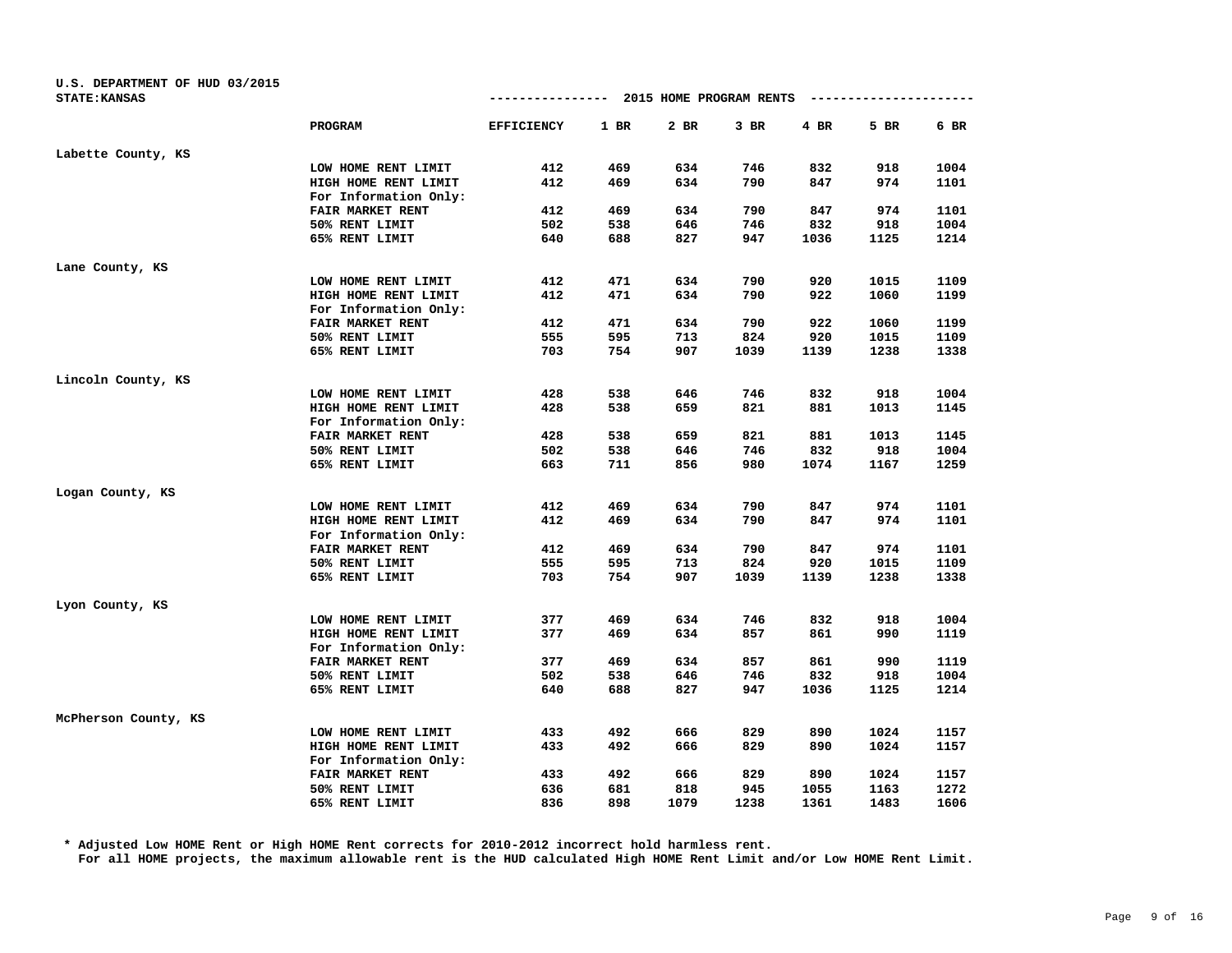| U.S. DEPARTMENT OF HUD 03/2015<br><b>STATE: KANSAS</b> |                       | --------------- 2015 HOME PROGRAM RENTS |      |      |        |      | ---------------------- |      |
|--------------------------------------------------------|-----------------------|-----------------------------------------|------|------|--------|------|------------------------|------|
|                                                        | <b>PROGRAM</b>        | <b>EFFICIENCY</b>                       | 1 BR | 2 BR | $3$ BR | 4 BR | 5 BR                   | 6 BR |
| Labette County, KS                                     |                       |                                         |      |      |        |      |                        |      |
|                                                        | LOW HOME RENT LIMIT   | 412                                     | 469  | 634  | 746    | 832  | 918                    | 1004 |
|                                                        | HIGH HOME RENT LIMIT  | 412                                     | 469  | 634  | 790    | 847  | 974                    | 1101 |
|                                                        | For Information Only: |                                         |      |      |        |      |                        |      |
|                                                        | FAIR MARKET RENT      | 412                                     | 469  | 634  | 790    | 847  | 974                    | 1101 |
|                                                        | 50% RENT LIMIT        | 502                                     | 538  | 646  | 746    | 832  | 918                    | 1004 |
|                                                        | 65% RENT LIMIT        | 640                                     | 688  | 827  | 947    | 1036 | 1125                   | 1214 |
| Lane County, KS                                        |                       |                                         |      |      |        |      |                        |      |
|                                                        | LOW HOME RENT LIMIT   | 412                                     | 471  | 634  | 790    | 920  | 1015                   | 1109 |
|                                                        | HIGH HOME RENT LIMIT  | 412                                     | 471  | 634  | 790    | 922  | 1060                   | 1199 |
|                                                        | For Information Only: |                                         |      |      |        |      |                        |      |
|                                                        | FAIR MARKET RENT      | 412                                     | 471  | 634  | 790    | 922  | 1060                   | 1199 |
|                                                        | 50% RENT LIMIT        | 555                                     | 595  | 713  | 824    | 920  | 1015                   | 1109 |
|                                                        | 65% RENT LIMIT        | 703                                     | 754  | 907  | 1039   | 1139 | 1238                   | 1338 |
| Lincoln County, KS                                     |                       |                                         |      |      |        |      |                        |      |
|                                                        | LOW HOME RENT LIMIT   | 428                                     | 538  | 646  | 746    | 832  | 918                    | 1004 |
|                                                        | HIGH HOME RENT LIMIT  | 428                                     | 538  | 659  | 821    | 881  | 1013                   | 1145 |
|                                                        | For Information Only: |                                         |      |      |        |      |                        |      |
|                                                        | FAIR MARKET RENT      | 428                                     | 538  | 659  | 821    | 881  | 1013                   | 1145 |
|                                                        | 50% RENT LIMIT        | 502                                     | 538  | 646  | 746    | 832  | 918                    | 1004 |
|                                                        | 65% RENT LIMIT        | 663                                     | 711  | 856  | 980    | 1074 | 1167                   | 1259 |
| Logan County, KS                                       |                       |                                         |      |      |        |      |                        |      |
|                                                        | LOW HOME RENT LIMIT   | 412                                     | 469  | 634  | 790    | 847  | 974                    | 1101 |
|                                                        | HIGH HOME RENT LIMIT  | 412                                     | 469  | 634  | 790    | 847  | 974                    | 1101 |
|                                                        | For Information Only: |                                         |      |      |        |      |                        |      |
|                                                        | FAIR MARKET RENT      | 412                                     | 469  | 634  | 790    | 847  | 974                    | 1101 |
|                                                        | 50% RENT LIMIT        | 555                                     | 595  | 713  | 824    | 920  | 1015                   | 1109 |
|                                                        | 65% RENT LIMIT        | 703                                     | 754  | 907  | 1039   | 1139 | 1238                   | 1338 |
| Lyon County, KS                                        |                       |                                         |      |      |        |      |                        |      |
|                                                        | LOW HOME RENT LIMIT   | 377                                     | 469  | 634  | 746    | 832  | 918                    | 1004 |
|                                                        | HIGH HOME RENT LIMIT  | 377                                     | 469  | 634  | 857    | 861  | 990                    | 1119 |
|                                                        | For Information Only: |                                         |      |      |        |      |                        |      |
|                                                        | FAIR MARKET RENT      | 377                                     | 469  | 634  | 857    | 861  | 990                    | 1119 |
|                                                        | 50% RENT LIMIT        | 502                                     | 538  | 646  | 746    | 832  | 918                    | 1004 |
|                                                        | 65% RENT LIMIT        | 640                                     | 688  | 827  | 947    | 1036 | 1125                   | 1214 |
| McPherson County, KS                                   |                       |                                         |      |      |        |      |                        |      |
|                                                        | LOW HOME RENT LIMIT   | 433                                     | 492  | 666  | 829    | 890  | 1024                   | 1157 |
|                                                        | HIGH HOME RENT LIMIT  | 433                                     | 492  | 666  | 829    | 890  | 1024                   | 1157 |
|                                                        | For Information Only: |                                         |      |      |        |      |                        |      |
|                                                        | FAIR MARKET RENT      | 433                                     | 492  | 666  | 829    | 890  | 1024                   | 1157 |
|                                                        | 50% RENT LIMIT        | 636                                     | 681  | 818  | 945    | 1055 | 1163                   | 1272 |
|                                                        | 65% RENT LIMIT        | 836                                     | 898  | 1079 | 1238   | 1361 | 1483                   | 1606 |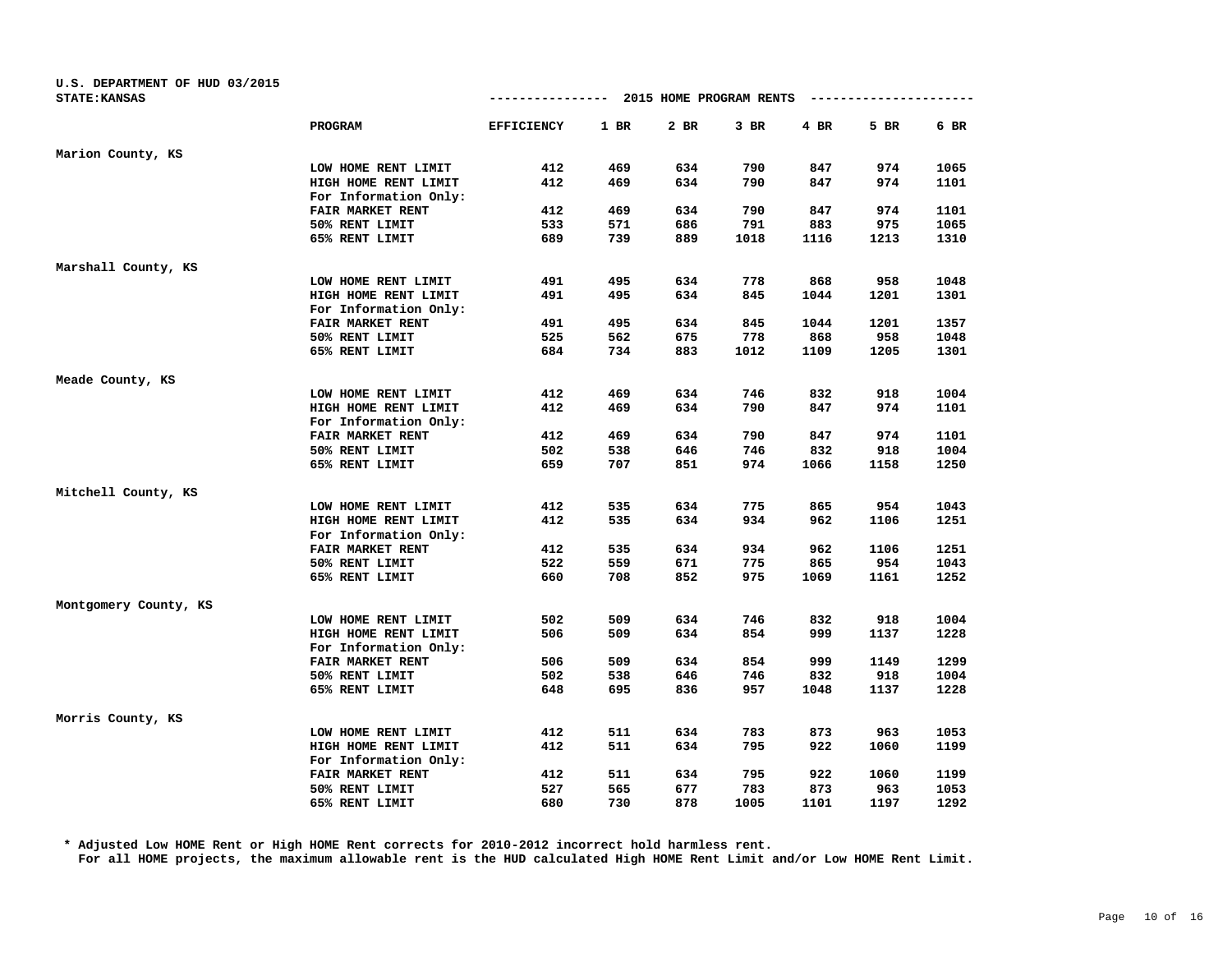| U.S. DEPARTMENT OF HUD 03/2015 |                       |                   |      |      |                         |      |                        |      |
|--------------------------------|-----------------------|-------------------|------|------|-------------------------|------|------------------------|------|
| <b>STATE: KANSAS</b>           |                       | --------------    |      |      | 2015 HOME PROGRAM RENTS |      | ---------------------- |      |
|                                | PROGRAM               | <b>EFFICIENCY</b> | 1 BR | 2 BR | $3$ BR                  | 4 BR | 5 BR                   | 6 BR |
| Marion County, KS              |                       |                   |      |      |                         |      |                        |      |
|                                | LOW HOME RENT LIMIT   | 412               | 469  | 634  | 790                     | 847  | 974                    | 1065 |
|                                | HIGH HOME RENT LIMIT  | 412               | 469  | 634  | 790                     | 847  | 974                    | 1101 |
|                                | For Information Only: |                   |      |      |                         |      |                        |      |
|                                | FAIR MARKET RENT      | 412               | 469  | 634  | 790                     | 847  | 974                    | 1101 |
|                                | 50% RENT LIMIT        | 533               | 571  | 686  | 791                     | 883  | 975                    | 1065 |
|                                | 65% RENT LIMIT        | 689               | 739  | 889  | 1018                    | 1116 | 1213                   | 1310 |
| Marshall County, KS            |                       |                   |      |      |                         |      |                        |      |
|                                | LOW HOME RENT LIMIT   | 491               | 495  | 634  | 778                     | 868  | 958                    | 1048 |
|                                | HIGH HOME RENT LIMIT  | 491               | 495  | 634  | 845                     | 1044 | 1201                   | 1301 |
|                                | For Information Only: |                   |      |      |                         |      |                        |      |
|                                | FAIR MARKET RENT      | 491               | 495  | 634  | 845                     | 1044 | 1201                   | 1357 |
|                                | 50% RENT LIMIT        | 525               | 562  | 675  | 778                     | 868  | 958                    | 1048 |
|                                | 65% RENT LIMIT        | 684               | 734  | 883  | 1012                    | 1109 | 1205                   | 1301 |
| Meade County, KS               |                       |                   |      |      |                         |      |                        |      |
|                                | LOW HOME RENT LIMIT   | 412               | 469  | 634  | 746                     | 832  | 918                    | 1004 |
|                                | HIGH HOME RENT LIMIT  | 412               | 469  | 634  | 790                     | 847  | 974                    | 1101 |
|                                | For Information Only: |                   |      |      |                         |      |                        |      |
|                                | FAIR MARKET RENT      | 412               | 469  | 634  | 790                     | 847  | 974                    | 1101 |
|                                | 50% RENT LIMIT        | 502               | 538  | 646  | 746                     | 832  | 918                    | 1004 |
|                                | 65% RENT LIMIT        | 659               | 707  | 851  | 974                     | 1066 | 1158                   | 1250 |
| Mitchell County, KS            |                       |                   |      |      |                         |      |                        |      |
|                                | LOW HOME RENT LIMIT   | 412               | 535  | 634  | 775                     | 865  | 954                    | 1043 |
|                                | HIGH HOME RENT LIMIT  | 412               | 535  | 634  | 934                     | 962  | 1106                   | 1251 |
|                                | For Information Only: |                   |      |      |                         |      |                        |      |
|                                | FAIR MARKET RENT      | 412               | 535  | 634  | 934                     | 962  | 1106                   | 1251 |
|                                | 50% RENT LIMIT        | 522               | 559  | 671  | 775                     | 865  | 954                    | 1043 |
|                                | 65% RENT LIMIT        | 660               | 708  | 852  | 975                     | 1069 | 1161                   | 1252 |
| Montgomery County, KS          |                       |                   |      |      |                         |      |                        |      |
|                                | LOW HOME RENT LIMIT   | 502               | 509  | 634  | 746                     | 832  | 918                    | 1004 |
|                                | HIGH HOME RENT LIMIT  | 506               | 509  | 634  | 854                     | 999  | 1137                   | 1228 |
|                                | For Information Only: |                   |      |      |                         |      |                        |      |
|                                | FAIR MARKET RENT      | 506               | 509  | 634  | 854                     | 999  | 1149                   | 1299 |
|                                | 50% RENT LIMIT        | 502               | 538  | 646  | 746                     | 832  | 918                    | 1004 |
|                                | 65% RENT LIMIT        | 648               | 695  | 836  | 957                     | 1048 | 1137                   | 1228 |
| Morris County, KS              |                       |                   |      |      |                         |      |                        |      |
|                                | LOW HOME RENT LIMIT   | 412               | 511  | 634  | 783                     | 873  | 963                    | 1053 |
|                                | HIGH HOME RENT LIMIT  | 412               | 511  | 634  | 795                     | 922  | 1060                   | 1199 |
|                                | For Information Only: |                   |      |      |                         |      |                        |      |
|                                | FAIR MARKET RENT      | 412               | 511  | 634  | 795                     | 922  | 1060                   | 1199 |
|                                | 50% RENT LIMIT        | 527               | 565  | 677  | 783                     | 873  | 963                    | 1053 |
|                                | 65% RENT LIMIT        | 680               | 730  | 878  | 1005                    | 1101 | 1197                   | 1292 |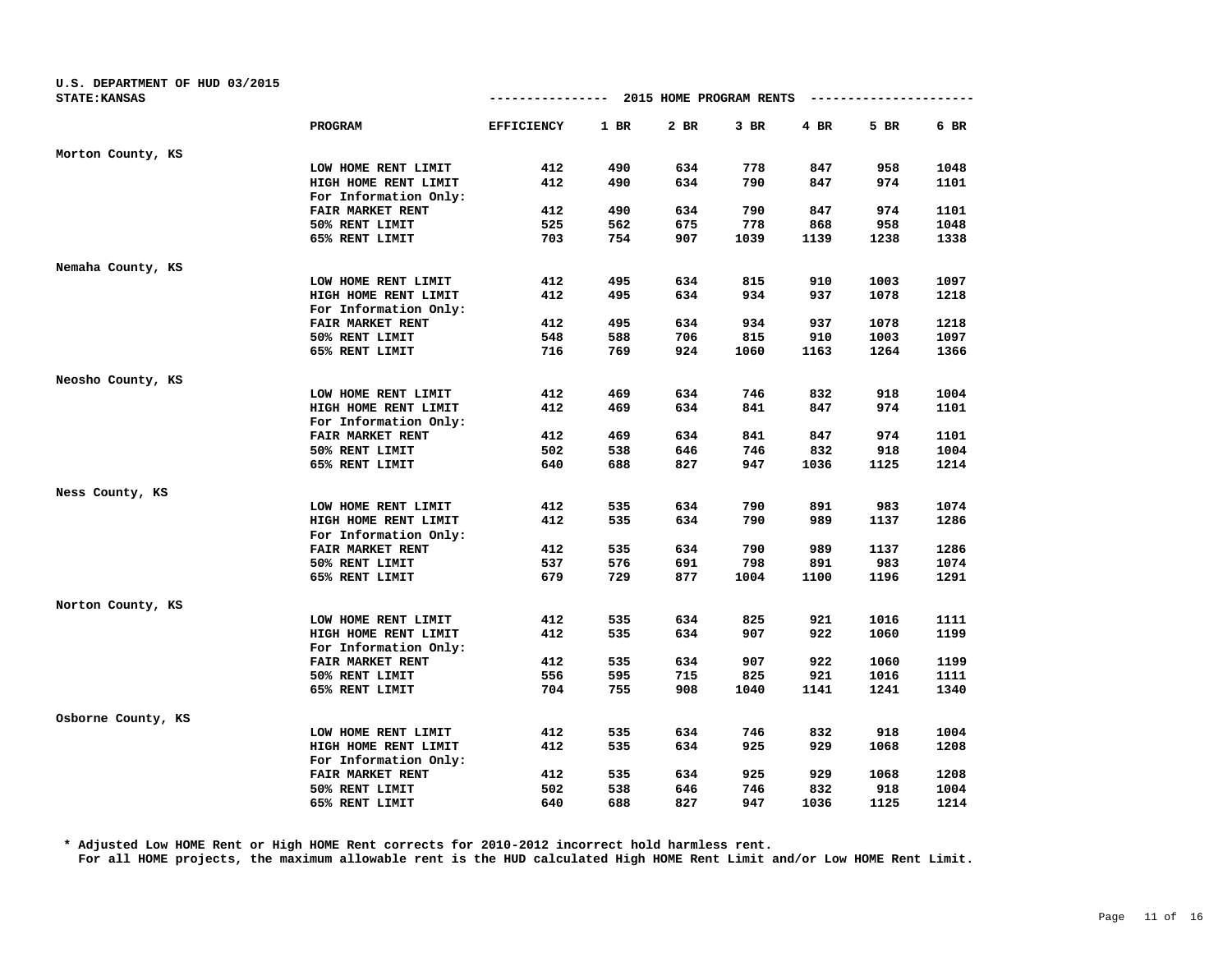| U.S. DEPARTMENT OF HUD 03/2015 |                       |                   |      |                         |        |      |                        |        |
|--------------------------------|-----------------------|-------------------|------|-------------------------|--------|------|------------------------|--------|
| <b>STATE: KANSAS</b>           |                       | ---------------   |      | 2015 HOME PROGRAM RENTS |        |      | ---------------------- |        |
|                                | PROGRAM               | <b>EFFICIENCY</b> | 1 BR | 2 BR                    | $3$ BR | 4 BR | 5 BR                   | $6$ BR |
| Morton County, KS              |                       |                   |      |                         |        |      |                        |        |
|                                | LOW HOME RENT LIMIT   | 412               | 490  | 634                     | 778    | 847  | 958                    | 1048   |
|                                | HIGH HOME RENT LIMIT  | 412               | 490  | 634                     | 790    | 847  | 974                    | 1101   |
|                                | For Information Only: |                   |      |                         |        |      |                        |        |
|                                | FAIR MARKET RENT      | 412               | 490  | 634                     | 790    | 847  | 974                    | 1101   |
|                                | 50% RENT LIMIT        | 525               | 562  | 675                     | 778    | 868  | 958                    | 1048   |
|                                | 65% RENT LIMIT        | 703               | 754  | 907                     | 1039   | 1139 | 1238                   | 1338   |
| Nemaha County, KS              |                       |                   |      |                         |        |      |                        |        |
|                                | LOW HOME RENT LIMIT   | 412               | 495  | 634                     | 815    | 910  | 1003                   | 1097   |
|                                | HIGH HOME RENT LIMIT  | 412               | 495  | 634                     | 934    | 937  | 1078                   | 1218   |
|                                | For Information Only: |                   |      |                         |        |      |                        |        |
|                                | FAIR MARKET RENT      | 412               | 495  | 634                     | 934    | 937  | 1078                   | 1218   |
|                                | 50% RENT LIMIT        | 548               | 588  | 706                     | 815    | 910  | 1003                   | 1097   |
|                                | 65% RENT LIMIT        | 716               | 769  | 924                     | 1060   | 1163 | 1264                   | 1366   |
| Neosho County, KS              |                       |                   |      |                         |        |      |                        |        |
|                                | LOW HOME RENT LIMIT   | 412               | 469  | 634                     | 746    | 832  | 918                    | 1004   |
|                                | HIGH HOME RENT LIMIT  | 412               | 469  | 634                     | 841    | 847  | 974                    | 1101   |
|                                | For Information Only: |                   |      |                         |        |      |                        |        |
|                                | FAIR MARKET RENT      | 412               | 469  | 634                     | 841    | 847  | 974                    | 1101   |
|                                | 50% RENT LIMIT        | 502               | 538  | 646                     | 746    | 832  | 918                    | 1004   |
|                                | 65% RENT LIMIT        | 640               | 688  | 827                     | 947    | 1036 | 1125                   | 1214   |
| Ness County, KS                |                       |                   |      |                         |        |      |                        |        |
|                                | LOW HOME RENT LIMIT   | 412               | 535  | 634                     | 790    | 891  | 983                    | 1074   |
|                                | HIGH HOME RENT LIMIT  | 412               | 535  | 634                     | 790    | 989  | 1137                   | 1286   |
|                                | For Information Only: |                   |      |                         |        |      |                        |        |
|                                | FAIR MARKET RENT      | 412               | 535  | 634                     | 790    | 989  | 1137                   | 1286   |
|                                | 50% RENT LIMIT        | 537               | 576  | 691                     | 798    | 891  | 983                    | 1074   |
|                                | 65% RENT LIMIT        | 679               | 729  | 877                     | 1004   | 1100 | 1196                   | 1291   |
| Norton County, KS              |                       |                   |      |                         |        |      |                        |        |
|                                | LOW HOME RENT LIMIT   | 412               | 535  | 634                     | 825    | 921  | 1016                   | 1111   |
|                                | HIGH HOME RENT LIMIT  | 412               | 535  | 634                     | 907    | 922  | 1060                   | 1199   |
|                                | For Information Only: |                   |      |                         |        |      |                        |        |
|                                | FAIR MARKET RENT      | 412               | 535  | 634                     | 907    | 922  | 1060                   | 1199   |
|                                | 50% RENT LIMIT        | 556               | 595  | 715                     | 825    | 921  | 1016                   | 1111   |
|                                | 65% RENT LIMIT        | 704               | 755  | 908                     | 1040   | 1141 | 1241                   | 1340   |
| Osborne County, KS             |                       |                   |      |                         |        |      |                        |        |
|                                | LOW HOME RENT LIMIT   | 412               | 535  | 634                     | 746    | 832  | 918                    | 1004   |
|                                | HIGH HOME RENT LIMIT  | 412               | 535  | 634                     | 925    | 929  | 1068                   | 1208   |
|                                | For Information Only: |                   |      |                         |        |      |                        |        |
|                                | FAIR MARKET RENT      | 412               | 535  | 634                     | 925    | 929  | 1068                   | 1208   |
|                                | 50% RENT LIMIT        | 502               | 538  | 646                     | 746    | 832  | 918                    | 1004   |
|                                | 65% RENT LIMIT        | 640               | 688  | 827                     | 947    | 1036 | 1125                   | 1214   |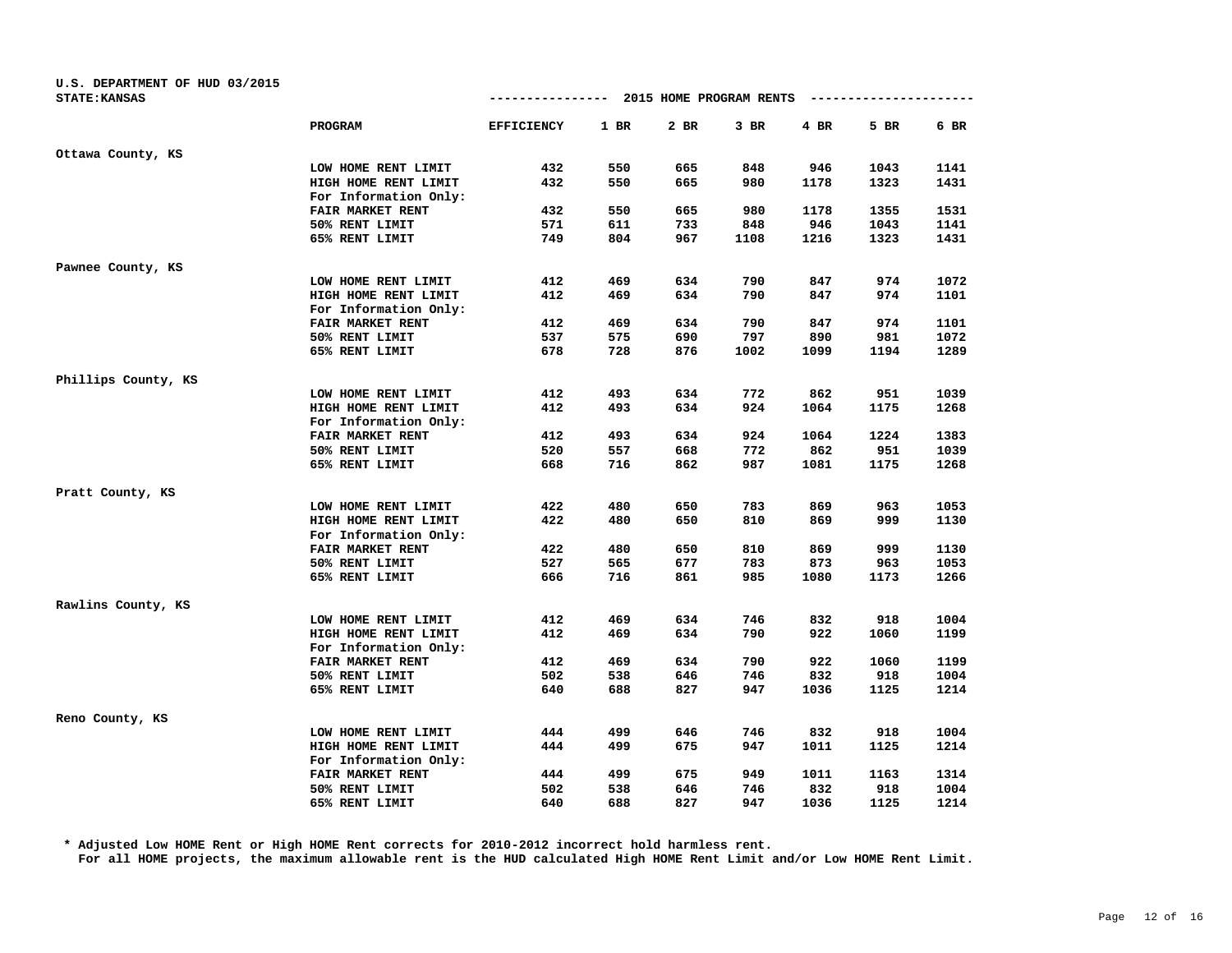| U.S. DEPARTMENT OF HUD 03/2015 |                       |                   |      |                         |        |      |                        |      |
|--------------------------------|-----------------------|-------------------|------|-------------------------|--------|------|------------------------|------|
| <b>STATE: KANSAS</b>           |                       | ---------------   |      | 2015 HOME PROGRAM RENTS |        |      | ---------------------- |      |
|                                | PROGRAM               | <b>EFFICIENCY</b> | 1 BR | 2 BR                    | $3$ BR | 4 BR | 5 BR                   | 6 BR |
| Ottawa County, KS              |                       |                   |      |                         |        |      |                        |      |
|                                | LOW HOME RENT LIMIT   | 432               | 550  | 665                     | 848    | 946  | 1043                   | 1141 |
|                                | HIGH HOME RENT LIMIT  | 432               | 550  | 665                     | 980    | 1178 | 1323                   | 1431 |
|                                | For Information Only: |                   |      |                         |        |      |                        |      |
|                                | FAIR MARKET RENT      | 432               | 550  | 665                     | 980    | 1178 | 1355                   | 1531 |
|                                | 50% RENT LIMIT        | 571               | 611  | 733                     | 848    | 946  | 1043                   | 1141 |
|                                | 65% RENT LIMIT        | 749               | 804  | 967                     | 1108   | 1216 | 1323                   | 1431 |
| Pawnee County, KS              |                       |                   |      |                         |        |      |                        |      |
|                                | LOW HOME RENT LIMIT   | 412               | 469  | 634                     | 790    | 847  | 974                    | 1072 |
|                                | HIGH HOME RENT LIMIT  | 412               | 469  | 634                     | 790    | 847  | 974                    | 1101 |
|                                | For Information Only: |                   |      |                         |        |      |                        |      |
|                                | FAIR MARKET RENT      | 412               | 469  | 634                     | 790    | 847  | 974                    | 1101 |
|                                | 50% RENT LIMIT        | 537               | 575  | 690                     | 797    | 890  | 981                    | 1072 |
|                                | 65% RENT LIMIT        | 678               | 728  | 876                     | 1002   | 1099 | 1194                   | 1289 |
| Phillips County, KS            |                       |                   |      |                         |        |      |                        |      |
|                                | LOW HOME RENT LIMIT   | 412               | 493  | 634                     | 772    | 862  | 951                    | 1039 |
|                                | HIGH HOME RENT LIMIT  | 412               | 493  | 634                     | 924    | 1064 | 1175                   | 1268 |
|                                | For Information Only: |                   |      |                         |        |      |                        |      |
|                                | FAIR MARKET RENT      | 412               | 493  | 634                     | 924    | 1064 | 1224                   | 1383 |
|                                | 50% RENT LIMIT        | 520               | 557  | 668                     | 772    | 862  | 951                    | 1039 |
|                                | 65% RENT LIMIT        | 668               | 716  | 862                     | 987    | 1081 | 1175                   | 1268 |
| Pratt County, KS               |                       |                   |      |                         |        |      |                        |      |
|                                | LOW HOME RENT LIMIT   | 422               | 480  | 650                     | 783    | 869  | 963                    | 1053 |
|                                | HIGH HOME RENT LIMIT  | 422               | 480  | 650                     | 810    | 869  | 999                    | 1130 |
|                                | For Information Only: |                   |      |                         |        |      |                        |      |
|                                | FAIR MARKET RENT      | 422               | 480  | 650                     | 810    | 869  | 999                    | 1130 |
|                                | 50% RENT LIMIT        | 527               | 565  | 677                     | 783    | 873  | 963                    | 1053 |
|                                | 65% RENT LIMIT        | 666               | 716  | 861                     | 985    | 1080 | 1173                   | 1266 |
| Rawlins County, KS             |                       |                   |      |                         |        |      |                        |      |
|                                | LOW HOME RENT LIMIT   | 412               | 469  | 634                     | 746    | 832  | 918                    | 1004 |
|                                | HIGH HOME RENT LIMIT  | 412               | 469  | 634                     | 790    | 922  | 1060                   | 1199 |
|                                | For Information Only: |                   |      |                         |        |      |                        |      |
|                                | FAIR MARKET RENT      | 412               | 469  | 634                     | 790    | 922  | 1060                   | 1199 |
|                                | 50% RENT LIMIT        | 502               | 538  | 646                     | 746    | 832  | 918                    | 1004 |
|                                | 65% RENT LIMIT        | 640               | 688  | 827                     | 947    | 1036 | 1125                   | 1214 |
| Reno County, KS                |                       |                   |      |                         |        |      |                        |      |
|                                | LOW HOME RENT LIMIT   | 444               | 499  | 646                     | 746    | 832  | 918                    | 1004 |
|                                | HIGH HOME RENT LIMIT  | 444               | 499  | 675                     | 947    | 1011 | 1125                   | 1214 |
|                                | For Information Only: |                   |      |                         |        |      |                        |      |
|                                | FAIR MARKET RENT      | 444               | 499  | 675                     | 949    | 1011 | 1163                   | 1314 |
|                                | 50% RENT LIMIT        | 502               | 538  | 646                     | 746    | 832  | 918                    | 1004 |
|                                | 65% RENT LIMIT        | 640               | 688  | 827                     | 947    | 1036 | 1125                   | 1214 |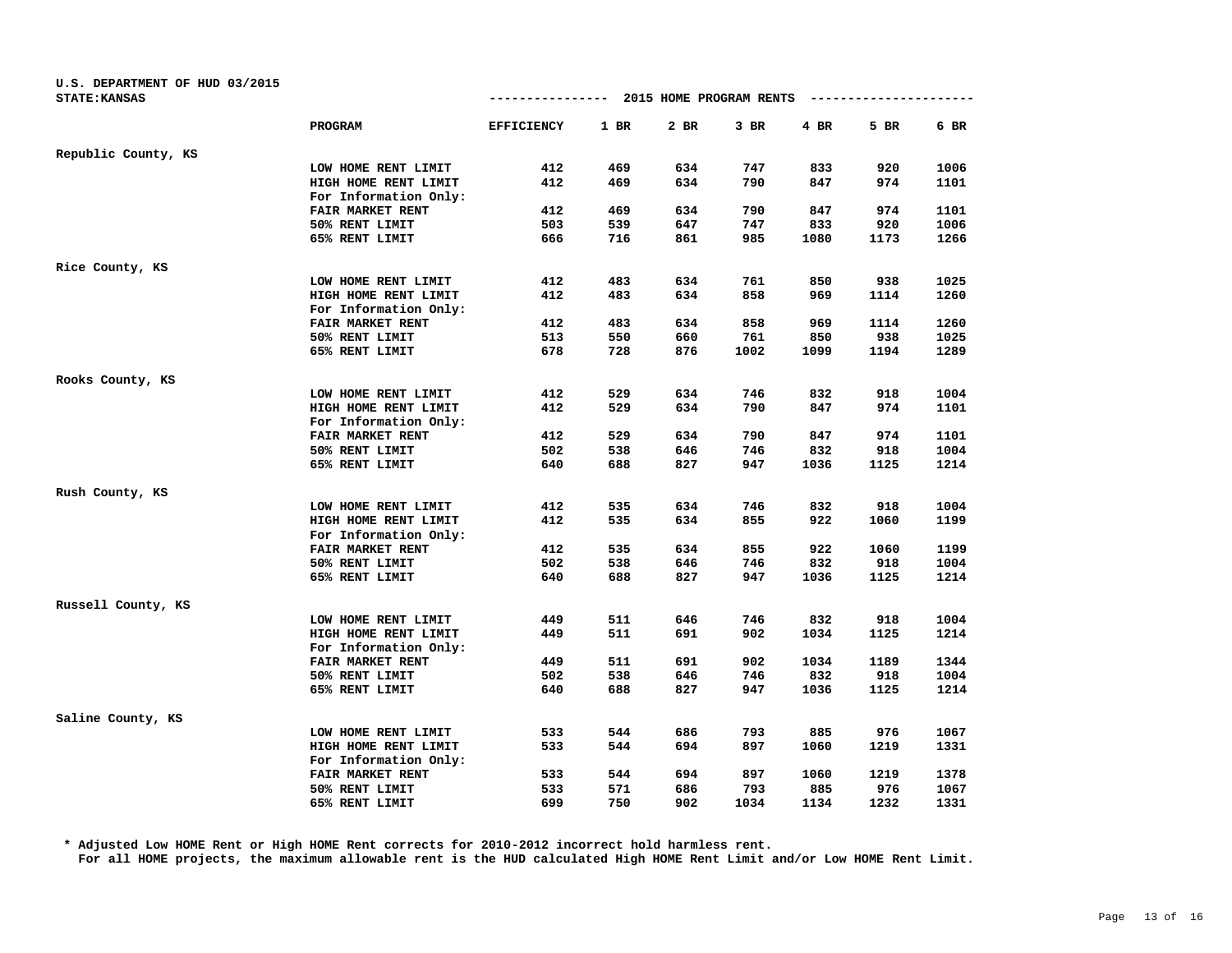| U.S. DEPARTMENT OF HUD 03/2015 |                       |                   |        |                         |        |      |      |      |
|--------------------------------|-----------------------|-------------------|--------|-------------------------|--------|------|------|------|
| <b>STATE: KANSAS</b>           |                       | -------------     |        | 2015 HOME PROGRAM RENTS |        |      |      |      |
|                                | PROGRAM               | <b>EFFICIENCY</b> | $1$ BR | 2 BR                    | $3$ BR | 4 BR | 5 BR | 6 BR |
| Republic County, KS            |                       |                   |        |                         |        |      |      |      |
|                                | LOW HOME RENT LIMIT   | 412               | 469    | 634                     | 747    | 833  | 920  | 1006 |
|                                | HIGH HOME RENT LIMIT  | 412               | 469    | 634                     | 790    | 847  | 974  | 1101 |
|                                | For Information Only: |                   |        |                         |        |      |      |      |
|                                | FAIR MARKET RENT      | 412               | 469    | 634                     | 790    | 847  | 974  | 1101 |
|                                | 50% RENT LIMIT        | 503               | 539    | 647                     | 747    | 833  | 920  | 1006 |
|                                | 65% RENT LIMIT        | 666               | 716    | 861                     | 985    | 1080 | 1173 | 1266 |
| Rice County, KS                |                       |                   |        |                         |        |      |      |      |
|                                | LOW HOME RENT LIMIT   | 412               | 483    | 634                     | 761    | 850  | 938  | 1025 |
|                                | HIGH HOME RENT LIMIT  | 412               | 483    | 634                     | 858    | 969  | 1114 | 1260 |
|                                | For Information Only: |                   |        |                         |        |      |      |      |
|                                | FAIR MARKET RENT      | 412               | 483    | 634                     | 858    | 969  | 1114 | 1260 |
|                                | 50% RENT LIMIT        | 513               | 550    | 660                     | 761    | 850  | 938  | 1025 |
|                                | 65% RENT LIMIT        | 678               | 728    | 876                     | 1002   | 1099 | 1194 | 1289 |
| Rooks County, KS               |                       |                   |        |                         |        |      |      |      |
|                                | LOW HOME RENT LIMIT   | 412               | 529    | 634                     | 746    | 832  | 918  | 1004 |
|                                | HIGH HOME RENT LIMIT  | 412               | 529    | 634                     | 790    | 847  | 974  | 1101 |
|                                | For Information Only: |                   |        |                         |        |      |      |      |
|                                | FAIR MARKET RENT      | 412               | 529    | 634                     | 790    | 847  | 974  | 1101 |
|                                | 50% RENT LIMIT        | 502               | 538    | 646                     | 746    | 832  | 918  | 1004 |
|                                | 65% RENT LIMIT        | 640               | 688    | 827                     | 947    | 1036 | 1125 | 1214 |
| Rush County, KS                |                       |                   |        |                         |        |      |      |      |
|                                | LOW HOME RENT LIMIT   | 412               | 535    | 634                     | 746    | 832  | 918  | 1004 |
|                                | HIGH HOME RENT LIMIT  | 412               | 535    | 634                     | 855    | 922  | 1060 | 1199 |
|                                | For Information Only: |                   |        |                         |        |      |      |      |
|                                | FAIR MARKET RENT      | 412               | 535    | 634                     | 855    | 922  | 1060 | 1199 |
|                                | 50% RENT LIMIT        | 502               | 538    | 646                     | 746    | 832  | 918  | 1004 |
|                                | 65% RENT LIMIT        | 640               | 688    | 827                     | 947    | 1036 | 1125 | 1214 |
| Russell County, KS             |                       |                   |        |                         |        |      |      |      |
|                                | LOW HOME RENT LIMIT   | 449               | 511    | 646                     | 746    | 832  | 918  | 1004 |
|                                | HIGH HOME RENT LIMIT  | 449               | 511    | 691                     | 902    | 1034 | 1125 | 1214 |
|                                | For Information Only: |                   |        |                         |        |      |      |      |
|                                | FAIR MARKET RENT      | 449               | 511    | 691                     | 902    | 1034 | 1189 | 1344 |
|                                | 50% RENT LIMIT        | 502               | 538    | 646                     | 746    | 832  | 918  | 1004 |
|                                | 65% RENT LIMIT        | 640               | 688    | 827                     | 947    | 1036 | 1125 | 1214 |
| Saline County, KS              |                       |                   |        |                         |        |      |      |      |
|                                | LOW HOME RENT LIMIT   | 533               | 544    | 686                     | 793    | 885  | 976  | 1067 |
|                                | HIGH HOME RENT LIMIT  | 533               | 544    | 694                     | 897    | 1060 | 1219 | 1331 |
|                                | For Information Only: |                   |        |                         |        |      |      |      |
|                                | FAIR MARKET RENT      | 533               | 544    | 694                     | 897    | 1060 | 1219 | 1378 |
|                                | 50% RENT LIMIT        | 533               | 571    | 686                     | 793    | 885  | 976  | 1067 |
|                                | 65% RENT LIMIT        | 699               | 750    | 902                     | 1034   | 1134 | 1232 | 1331 |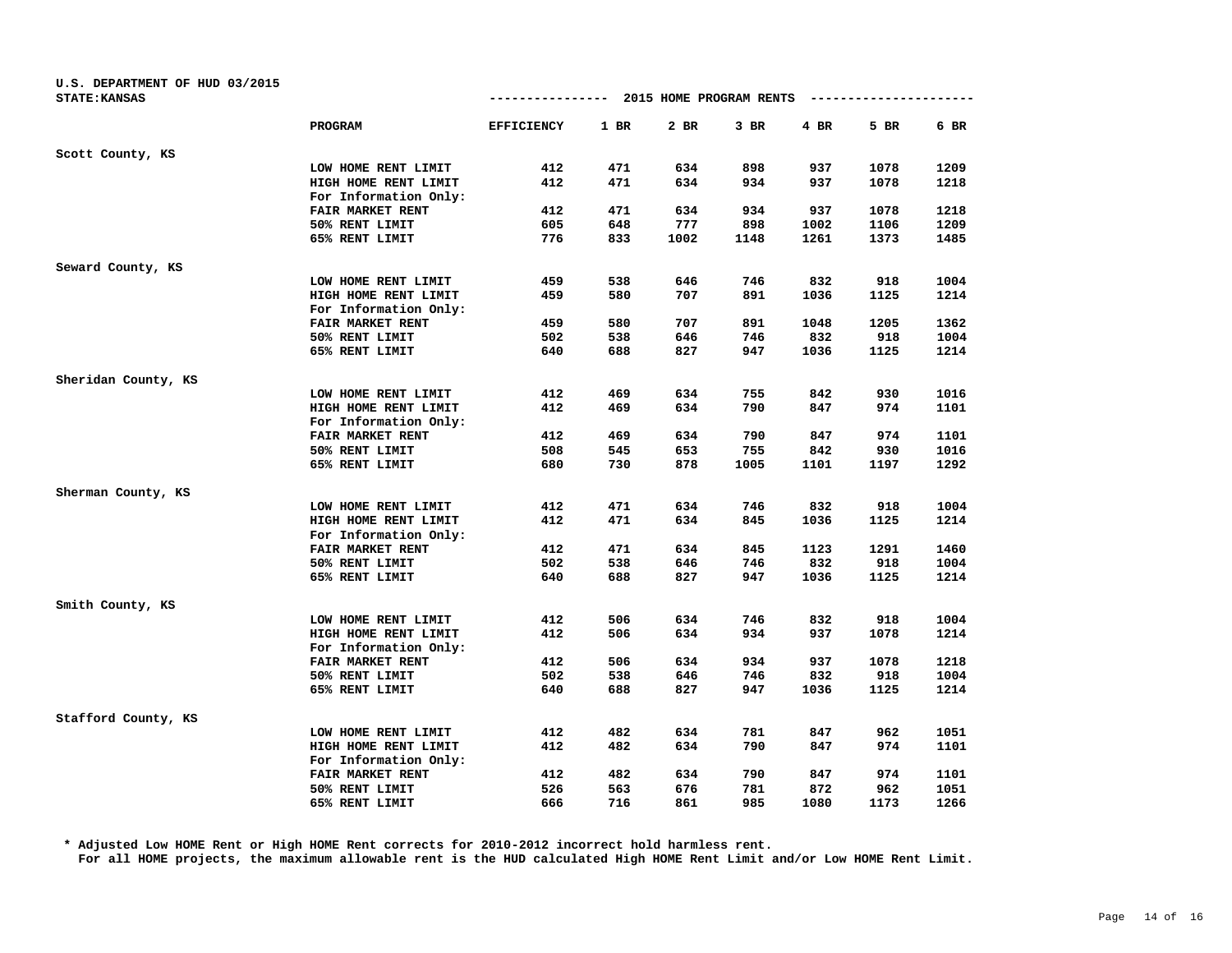| U.S. DEPARTMENT OF HUD 03/2015 |                       |                   |            |                         |            |             |             |              |
|--------------------------------|-----------------------|-------------------|------------|-------------------------|------------|-------------|-------------|--------------|
| <b>STATE: KANSAS</b>           |                       | -------------     |            | 2015 HOME PROGRAM RENTS |            |             |             |              |
|                                | PROGRAM               | <b>EFFICIENCY</b> | $1$ BR     | 2 BR                    | $3$ BR     | 4 BR        | 5 BR        | 6 BR         |
| Scott County, KS               |                       |                   |            |                         |            |             |             |              |
|                                | LOW HOME RENT LIMIT   | 412               | 471        | 634                     | 898        | 937         | 1078        | 1209         |
|                                | HIGH HOME RENT LIMIT  | 412               | 471        | 634                     | 934        | 937         | 1078        | 1218         |
|                                | For Information Only: |                   |            |                         |            |             |             |              |
|                                | FAIR MARKET RENT      | 412               | 471        | 634                     | 934        | 937         | 1078        | 1218         |
|                                | 50% RENT LIMIT        | 605               | 648        | 777                     | 898        | 1002        | 1106        | 1209         |
|                                | 65% RENT LIMIT        | 776               | 833        | 1002                    | 1148       | 1261        | 1373        | 1485         |
| Seward County, KS              |                       |                   |            |                         |            |             |             |              |
|                                | LOW HOME RENT LIMIT   | 459               | 538        | 646                     | 746        | 832         | 918         | 1004         |
|                                | HIGH HOME RENT LIMIT  | 459               | 580        | 707                     | 891        | 1036        | 1125        | 1214         |
|                                | For Information Only: |                   |            |                         |            |             |             |              |
|                                | FAIR MARKET RENT      | 459               | 580        | 707                     | 891        | 1048        | 1205        | 1362         |
|                                | 50% RENT LIMIT        | 502               | 538        | 646                     | 746        | 832         | 918         | 1004         |
|                                | 65% RENT LIMIT        | 640               | 688        | 827                     | 947        | 1036        | 1125        | 1214         |
| Sheridan County, KS            |                       |                   |            |                         |            |             |             |              |
|                                | LOW HOME RENT LIMIT   | 412               | 469        | 634                     | 755        | 842         | 930         | 1016         |
|                                | HIGH HOME RENT LIMIT  | 412               | 469        | 634                     | 790        | 847         | 974         | 1101         |
|                                | For Information Only: |                   |            |                         |            |             |             |              |
|                                | FAIR MARKET RENT      | 412               | 469        | 634                     | 790        | 847         | 974         | 1101         |
|                                | 50% RENT LIMIT        | 508               | 545        | 653                     | 755        | 842         | 930         | 1016         |
|                                | 65% RENT LIMIT        | 680               | 730        | 878                     | 1005       | 1101        | 1197        | 1292         |
| Sherman County, KS             |                       |                   |            |                         |            |             |             |              |
|                                | LOW HOME RENT LIMIT   | 412               | 471        | 634                     | 746        | 832         | 918         | 1004         |
|                                | HIGH HOME RENT LIMIT  | 412               | 471        | 634                     | 845        | 1036        | 1125        | 1214         |
|                                | For Information Only: |                   |            |                         |            |             |             |              |
|                                | FAIR MARKET RENT      | 412               | 471        | 634                     | 845        | 1123        | 1291        | 1460         |
|                                | 50% RENT LIMIT        | 502               | 538        | 646                     | 746        | 832         | 918         | 1004         |
|                                | 65% RENT LIMIT        | 640               | 688        | 827                     | 947        | 1036        | 1125        | 1214         |
| Smith County, KS               |                       |                   |            |                         |            |             |             |              |
|                                | LOW HOME RENT LIMIT   | 412               | 506        | 634                     | 746        | 832         | 918         | 1004         |
|                                | HIGH HOME RENT LIMIT  | 412               | 506        | 634                     | 934        | 937         | 1078        | 1214         |
|                                | For Information Only: |                   |            |                         |            |             |             |              |
|                                | FAIR MARKET RENT      | 412               | 506        | 634                     | 934        | 937         | 1078        | 1218         |
|                                | 50% RENT LIMIT        | 502               | 538        | 646                     | 746        | 832         | 918         | 1004         |
|                                | 65% RENT LIMIT        | 640               | 688        | 827                     | 947        | 1036        | 1125        | 1214         |
| Stafford County, KS            |                       |                   |            |                         |            |             |             |              |
|                                | LOW HOME RENT LIMIT   | 412               | 482        | 634                     | 781        | 847         | 962         | 1051         |
|                                | HIGH HOME RENT LIMIT  | 412               | 482        | 634                     | 790        | 847         | 974         | 1101         |
|                                | For Information Only: |                   |            |                         |            |             |             |              |
|                                | FAIR MARKET RENT      | 412               | 482        | 634                     | 790        | 847         | 974         | 1101         |
|                                | 50% RENT LIMIT        | 526<br>666        | 563<br>716 | 676<br>861              | 781<br>985 | 872<br>1080 | 962<br>1173 | 1051<br>1266 |
|                                | 65% RENT LIMIT        |                   |            |                         |            |             |             |              |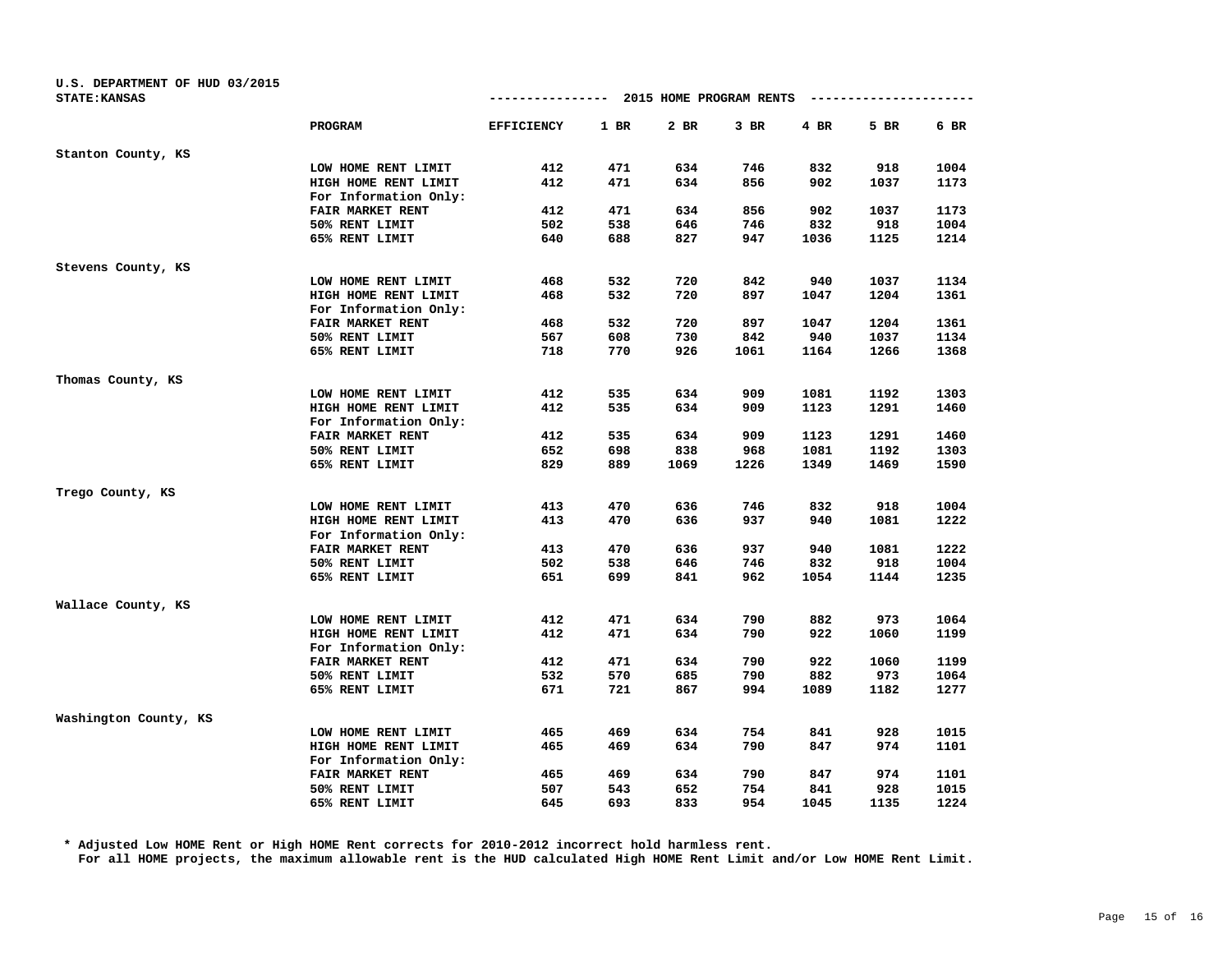| U.S. DEPARTMENT OF HUD 03/2015<br><b>STATE: KANSAS</b> |                       | -------------     |        | 2015 HOME PROGRAM RENTS |        |      |      |      |
|--------------------------------------------------------|-----------------------|-------------------|--------|-------------------------|--------|------|------|------|
|                                                        | PROGRAM               | <b>EFFICIENCY</b> | $1$ BR | 2 BR                    | $3$ BR | 4 BR | 5 BR | 6 BR |
| Stanton County, KS                                     |                       |                   |        |                         |        |      |      |      |
|                                                        | LOW HOME RENT LIMIT   | 412               | 471    | 634                     | 746    | 832  | 918  | 1004 |
|                                                        | HIGH HOME RENT LIMIT  | 412               | 471    | 634                     | 856    | 902  | 1037 | 1173 |
|                                                        | For Information Only: |                   |        |                         |        |      |      |      |
|                                                        | FAIR MARKET RENT      | 412               | 471    | 634                     | 856    | 902  | 1037 | 1173 |
|                                                        | 50% RENT LIMIT        | 502               | 538    | 646                     | 746    | 832  | 918  | 1004 |
|                                                        | 65% RENT LIMIT        | 640               | 688    | 827                     | 947    | 1036 | 1125 | 1214 |
| Stevens County, KS                                     |                       |                   |        |                         |        |      |      |      |
|                                                        | LOW HOME RENT LIMIT   | 468               | 532    | 720                     | 842    | 940  | 1037 | 1134 |
|                                                        | HIGH HOME RENT LIMIT  | 468               | 532    | 720                     | 897    | 1047 | 1204 | 1361 |
|                                                        | For Information Only: |                   |        |                         |        |      |      |      |
|                                                        | FAIR MARKET RENT      | 468               | 532    | 720                     | 897    | 1047 | 1204 | 1361 |
|                                                        | 50% RENT LIMIT        | 567               | 608    | 730                     | 842    | 940  | 1037 | 1134 |
|                                                        | 65% RENT LIMIT        | 718               | 770    | 926                     | 1061   | 1164 | 1266 | 1368 |
| Thomas County, KS                                      |                       |                   |        |                         |        |      |      |      |
|                                                        | LOW HOME RENT LIMIT   | 412               | 535    | 634                     | 909    | 1081 | 1192 | 1303 |
|                                                        | HIGH HOME RENT LIMIT  | 412               | 535    | 634                     | 909    | 1123 | 1291 | 1460 |
|                                                        | For Information Only: |                   |        |                         |        |      |      |      |
|                                                        | FAIR MARKET RENT      | 412               | 535    | 634                     | 909    | 1123 | 1291 | 1460 |
|                                                        | 50% RENT LIMIT        | 652               | 698    | 838                     | 968    | 1081 | 1192 | 1303 |
|                                                        | 65% RENT LIMIT        | 829               | 889    | 1069                    | 1226   | 1349 | 1469 | 1590 |
| Trego County, KS                                       |                       |                   |        |                         |        |      |      |      |
|                                                        | LOW HOME RENT LIMIT   | 413               | 470    | 636                     | 746    | 832  | 918  | 1004 |
|                                                        | HIGH HOME RENT LIMIT  | 413               | 470    | 636                     | 937    | 940  | 1081 | 1222 |
|                                                        | For Information Only: |                   |        |                         |        |      |      |      |
|                                                        | FAIR MARKET RENT      | 413               | 470    | 636                     | 937    | 940  | 1081 | 1222 |
|                                                        | 50% RENT LIMIT        | 502               | 538    | 646                     | 746    | 832  | 918  | 1004 |
|                                                        | 65% RENT LIMIT        | 651               | 699    | 841                     | 962    | 1054 | 1144 | 1235 |
| Wallace County, KS                                     |                       |                   |        |                         |        |      |      |      |
|                                                        | LOW HOME RENT LIMIT   | 412               | 471    | 634                     | 790    | 882  | 973  | 1064 |
|                                                        | HIGH HOME RENT LIMIT  | 412               | 471    | 634                     | 790    | 922  | 1060 | 1199 |
|                                                        | For Information Only: |                   |        |                         |        |      |      |      |
|                                                        | FAIR MARKET RENT      | 412               | 471    | 634                     | 790    | 922  | 1060 | 1199 |
|                                                        | 50% RENT LIMIT        | 532               | 570    | 685                     | 790    | 882  | 973  | 1064 |
|                                                        | 65% RENT LIMIT        | 671               | 721    | 867                     | 994    | 1089 | 1182 | 1277 |
| Washington County, KS                                  |                       |                   |        |                         |        |      |      |      |
|                                                        | LOW HOME RENT LIMIT   | 465               | 469    | 634                     | 754    | 841  | 928  | 1015 |
|                                                        | HIGH HOME RENT LIMIT  | 465               | 469    | 634                     | 790    | 847  | 974  | 1101 |
|                                                        | For Information Only: |                   |        |                         |        |      |      |      |
|                                                        | FAIR MARKET RENT      | 465               | 469    | 634                     | 790    | 847  | 974  | 1101 |
|                                                        | 50% RENT LIMIT        | 507               | 543    | 652                     | 754    | 841  | 928  | 1015 |
|                                                        | 65% RENT LIMIT        | 645               | 693    | 833                     | 954    | 1045 | 1135 | 1224 |